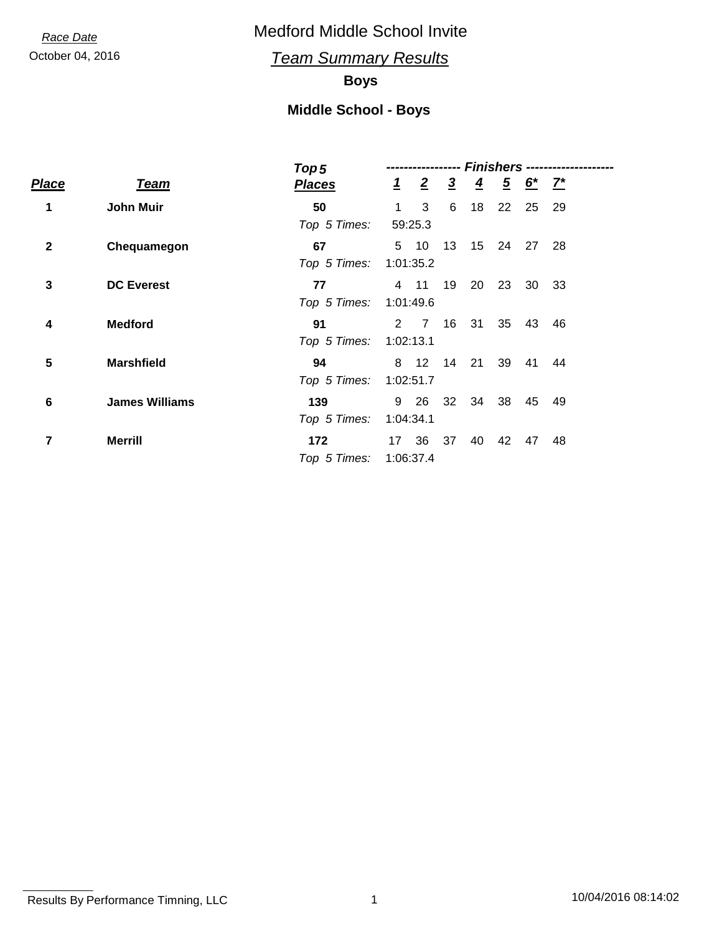October 04, 2016 *Team Summary Results*

## **Boys**

|              |                       | Top <sub>5</sub> | <b>Finishers ---------------</b> |                  |                |                |                |              |      |  |
|--------------|-----------------------|------------------|----------------------------------|------------------|----------------|----------------|----------------|--------------|------|--|
| Place        | <b>Team</b>           | <b>Places</b>    |                                  | $\frac{1}{2}$ 2  | $\overline{3}$ | $\overline{4}$ | $\overline{5}$ | <u>6* 7*</u> |      |  |
| 1            | <b>John Muir</b>      | 50               | $\mathbf 1$                      | 3                | 6              | 18             | 22             | 25           | 29   |  |
|              |                       | Top 5 Times:     |                                  | 59:25.3          |                |                |                |              |      |  |
| $\mathbf{2}$ | Chequamegon           | 67               |                                  | 5 10             | 13             |                | 15 24          | 27           | - 28 |  |
|              |                       | Top 5 Times:     | 1:01:35.2                        |                  |                |                |                |              |      |  |
| $\mathbf 3$  | <b>DC Everest</b>     | 77               |                                  | 4 11             | 19             | 20             | 23             | 30           | - 33 |  |
|              |                       | Top 5 Times:     | 1:01:49.6                        |                  |                |                |                |              |      |  |
| 4            | <b>Medford</b>        | 91               |                                  | $2 \overline{7}$ | 16             | 31             | 35             | 43           | - 46 |  |
|              |                       | Top 5 Times:     | 1:02:13.1                        |                  |                |                |                |              |      |  |
| 5            | <b>Marshfield</b>     | 94               | 8                                | 12               | 14             | 21             | 39             | 41           | 44   |  |
|              |                       | Top 5 Times:     | 1:02:51.7                        |                  |                |                |                |              |      |  |
| 6            | <b>James Williams</b> | 139              | 9                                | - 26             | 32             | 34             | - 38           | 45           | 49   |  |
|              |                       | Top 5 Times:     | 1:04:34.1                        |                  |                |                |                |              |      |  |
| 7            | <b>Merrill</b>        | 172              |                                  | 17 36            | 37             | 40             | 42             | 47           | 48   |  |
|              |                       | Top 5 Times:     |                                  | 1:06:37.4        |                |                |                |              |      |  |
|              |                       |                  |                                  |                  |                |                |                |              |      |  |

Results By Performance Timning, LLC 10/04/2016 08:14:02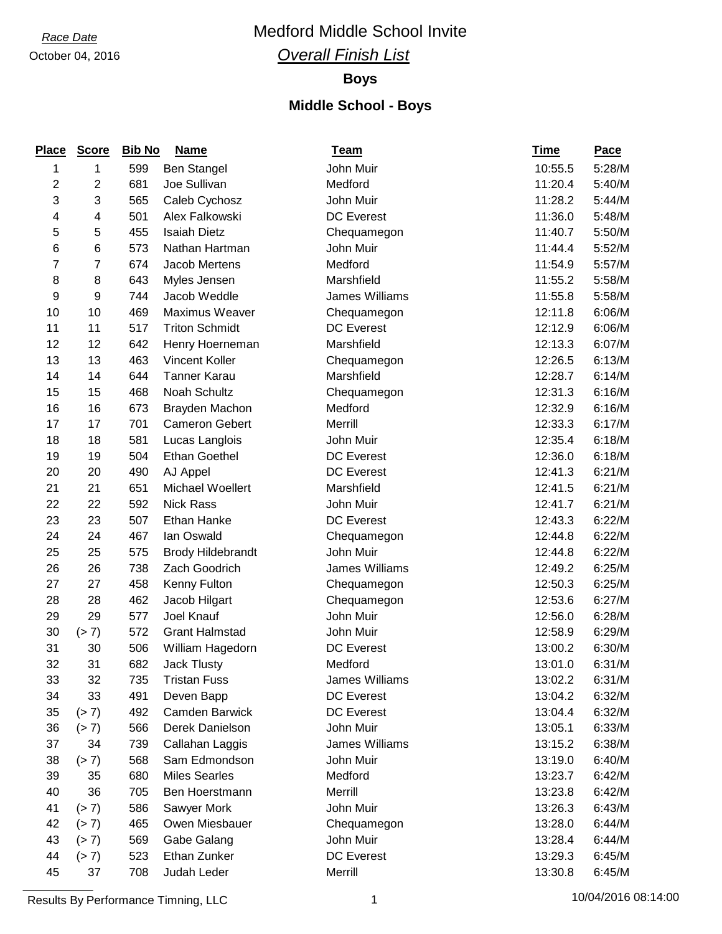*Race Date* Medford Middle School Invite

## *Overall Finish List*

## **Boys**

| <b>Place</b> | <b>Score</b> | <b>Bib No</b> | <b>Name</b>              | <b>Team</b>       | <u>Time</u> | <b>Pace</b> |
|--------------|--------------|---------------|--------------------------|-------------------|-------------|-------------|
| 1            | 1            | 599           | <b>Ben Stangel</b>       | John Muir         | 10:55.5     | 5:28/M      |
| 2            | 2            | 681           | Joe Sullivan             | Medford           | 11:20.4     | 5:40/M      |
| 3            | 3            | 565           | Caleb Cychosz            | John Muir         | 11:28.2     | 5:44/M      |
| 4            | 4            | 501           | Alex Falkowski           | <b>DC</b> Everest | 11:36.0     | 5:48/M      |
| 5            | 5            | 455           | <b>Isaiah Dietz</b>      | Chequamegon       | 11:40.7     | 5:50/M      |
| 6            | 6            | 573           | Nathan Hartman           | John Muir         | 11:44.4     | 5:52/M      |
| 7            | 7            | 674           | Jacob Mertens            | Medford           | 11:54.9     | 5:57/M      |
| 8            | 8            | 643           | Myles Jensen             | Marshfield        | 11:55.2     | 5:58/M      |
| 9            | 9            | 744           | Jacob Weddle             | James Williams    | 11:55.8     | 5:58/M      |
| 10           | 10           | 469           | Maximus Weaver           | Chequamegon       | 12:11.8     | 6:06/M      |
| 11           | 11           | 517           | <b>Triton Schmidt</b>    | <b>DC</b> Everest | 12:12.9     | 6:06/M      |
| 12           | 12           | 642           | Henry Hoerneman          | Marshfield        | 12:13.3     | 6:07/M      |
| 13           | 13           | 463           | Vincent Koller           | Chequamegon       | 12:26.5     | 6:13/M      |
| 14           | 14           | 644           | <b>Tanner Karau</b>      | Marshfield        | 12:28.7     | 6:14/M      |
| 15           | 15           | 468           | Noah Schultz             | Chequamegon       | 12:31.3     | 6:16/M      |
| 16           | 16           | 673           | Brayden Machon           | Medford           | 12:32.9     | 6:16/M      |
| 17           | 17           | 701           | <b>Cameron Gebert</b>    | Merrill           | 12:33.3     | 6:17/M      |
| 18           | 18           | 581           | Lucas Langlois           | John Muir         | 12:35.4     | 6:18/M      |
| 19           | 19           | 504           | <b>Ethan Goethel</b>     | <b>DC</b> Everest | 12:36.0     | 6:18/M      |
| 20           | 20           | 490           | AJ Appel                 | <b>DC Everest</b> | 12:41.3     | 6:21/M      |
| 21           | 21           | 651           | Michael Woellert         | Marshfield        | 12:41.5     | 6:21/M      |
| 22           | 22           | 592           | <b>Nick Rass</b>         | John Muir         | 12:41.7     | 6:21/M      |
| 23           | 23           | 507           | Ethan Hanke              | <b>DC</b> Everest | 12:43.3     | 6:22/M      |
| 24           | 24           | 467           | lan Oswald               | Chequamegon       | 12:44.8     | 6:22/M      |
| 25           | 25           | 575           | <b>Brody Hildebrandt</b> | John Muir         | 12:44.8     | 6:22/M      |
| 26           | 26           | 738           | Zach Goodrich            | James Williams    | 12:49.2     | 6:25/M      |
| 27           | 27           | 458           | Kenny Fulton             | Chequamegon       | 12:50.3     | 6:25/M      |
| 28           | 28           | 462           | Jacob Hilgart            | Chequamegon       | 12:53.6     | 6:27/M      |
| 29           | 29           | 577           | Joel Knauf               | John Muir         | 12:56.0     | 6:28/M      |
| 30           | (> 7)        | 572           | <b>Grant Halmstad</b>    | John Muir         | 12:58.9     | 6:29/M      |
| 31           | 30           | 506           | William Hagedorn         | <b>DC Everest</b> | 13:00.2     | 6:30/M      |
| 32           | 31           | 682           | Jack Tlusty              | Medford           | 13:01.0     | 6:31/M      |
| 33           | 32           | 735           | <b>Tristan Fuss</b>      | James Williams    | 13:02.2     | 6:31/M      |
| 34           | 33           | 491           | Deven Bapp               | <b>DC</b> Everest | 13:04.2     | 6:32/M      |
| 35           | (> 7)        | 492           | <b>Camden Barwick</b>    | <b>DC</b> Everest | 13:04.4     | 6:32/M      |
| 36           | (> 7)        | 566           | Derek Danielson          | John Muir         | 13:05.1     | 6:33/M      |
| 37           | 34           | 739           | Callahan Laggis          | James Williams    | 13:15.2     | 6:38/M      |
| 38           | (> 7)        | 568           | Sam Edmondson            | John Muir         | 13:19.0     | 6:40/M      |
| 39           | 35           | 680           | <b>Miles Searles</b>     | Medford           | 13:23.7     | 6:42/M      |
| 40           | 36           | 705           | Ben Hoerstmann           | Merrill           | 13:23.8     | 6:42/M      |
| 41           | (> 7)        | 586           | Sawyer Mork              | John Muir         | 13:26.3     | 6:43/M      |
| 42           | (> 7)        | 465           | Owen Miesbauer           | Chequamegon       | 13:28.0     | 6:44/M      |
| 43           | (> 7)        | 569           | Gabe Galang              | John Muir         | 13:28.4     | 6:44/M      |
| 44           | (> 7)        | 523           | Ethan Zunker             | <b>DC Everest</b> | 13:29.3     | 6:45/M      |
| 45           | 37           | 708           | Judah Leder              | Merrill           | 13:30.8     | 6:45/M      |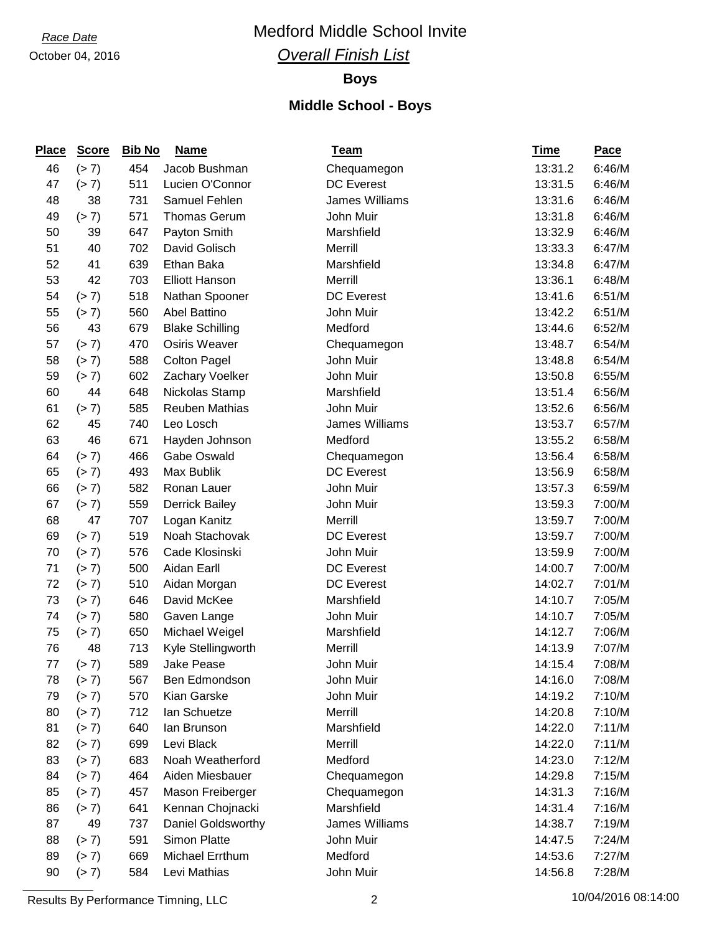*Race Date* Medford Middle School Invite

## *Overall Finish List*

## **Boys**

### **Middle School - Boys**

| <b>Place</b> | <b>Score</b> | <b>Bib No</b> | <u>Name</u>            | <u>Team</u>       | <u>Time</u> | Pace   |
|--------------|--------------|---------------|------------------------|-------------------|-------------|--------|
| 46           | (> 7)        | 454           | Jacob Bushman          | Chequamegon       | 13:31.2     | 6:46/M |
| 47           | (> 7)        | 511           | Lucien O'Connor        | <b>DC</b> Everest | 13:31.5     | 6:46/M |
| 48           | 38           | 731           | Samuel Fehlen          | James Williams    | 13:31.6     | 6:46/M |
| 49           | (> 7)        | 571           | <b>Thomas Gerum</b>    | John Muir         | 13:31.8     | 6:46/M |
| 50           | 39           | 647           | Payton Smith           | Marshfield        | 13:32.9     | 6:46/M |
| 51           | 40           | 702           | David Golisch          | Merrill           | 13:33.3     | 6:47/M |
| 52           | 41           | 639           | Ethan Baka             | Marshfield        | 13:34.8     | 6:47/M |
| 53           | 42           | 703           | <b>Elliott Hanson</b>  | Merrill           | 13:36.1     | 6:48/M |
| 54           | (> 7)        | 518           | Nathan Spooner         | <b>DC Everest</b> | 13:41.6     | 6:51/M |
| 55           | (> 7)        | 560           | <b>Abel Battino</b>    | John Muir         | 13:42.2     | 6:51/M |
| 56           | 43           | 679           | <b>Blake Schilling</b> | Medford           | 13:44.6     | 6:52/M |
| 57           | (> 7)        | 470           | Osiris Weaver          | Chequamegon       | 13:48.7     | 6:54/M |
| 58           | (> 7)        | 588           | <b>Colton Pagel</b>    | John Muir         | 13:48.8     | 6:54/M |
| 59           | (> 7)        | 602           | Zachary Voelker        | John Muir         | 13:50.8     | 6:55/M |
| 60           | 44           | 648           | Nickolas Stamp         | Marshfield        | 13:51.4     | 6:56/M |
| 61           | (> 7)        | 585           | <b>Reuben Mathias</b>  | John Muir         | 13:52.6     | 6:56/M |
| 62           | 45           | 740           | Leo Losch              | James Williams    | 13:53.7     | 6:57/M |
| 63           | 46           | 671           | Hayden Johnson         | Medford           | 13:55.2     | 6:58/M |
| 64           | (> 7)        | 466           | Gabe Oswald            | Chequamegon       | 13:56.4     | 6:58/M |
| 65           | (> 7)        | 493           | Max Bublik             | <b>DC</b> Everest | 13:56.9     | 6:58/M |
| 66           | (> 7)        | 582           | Ronan Lauer            | John Muir         | 13:57.3     | 6:59/M |
| 67           | (> 7)        | 559           | <b>Derrick Bailey</b>  | John Muir         | 13:59.3     | 7:00/M |
| 68           | 47           | 707           | Logan Kanitz           | Merrill           | 13:59.7     | 7:00/M |
| 69           | (> 7)        | 519           | Noah Stachovak         | <b>DC</b> Everest | 13:59.7     | 7:00/M |
| 70           | (> 7)        | 576           | Cade Klosinski         | John Muir         | 13:59.9     | 7:00/M |
| 71           | (> 7)        | 500           | Aidan Earll            | <b>DC</b> Everest | 14:00.7     | 7:00/M |
| 72           | (> 7)        | 510           | Aidan Morgan           | <b>DC</b> Everest | 14:02.7     | 7:01/M |
| 73           | (> 7)        | 646           | David McKee            | Marshfield        | 14:10.7     | 7:05/M |
| 74           | (> 7)        | 580           | Gaven Lange            | John Muir         | 14:10.7     | 7:05/M |
| 75           | (> 7)        | 650           | Michael Weigel         | Marshfield        | 14:12.7     | 7:06/M |
| 76           | 48           | 713           | Kyle Stellingworth     | Merrill           | 14:13.9     | 7:07/M |
| 77           | (> 7)        | 589           | <b>Jake Pease</b>      | John Muir         | 14:15.4     | 7:08/M |
| 78           | (> 7)        | 567           | Ben Edmondson          | John Muir         | 14:16.0     | 7:08/M |
| 79           | (> 7)        | 570           | Kian Garske            | John Muir         | 14:19.2     | 7:10/M |
| 80           | (> 7)        | 712           | lan Schuetze           | Merrill           | 14:20.8     | 7:10/M |
| 81           | (> 7)        | 640           | lan Brunson            | Marshfield        | 14:22.0     | 7:11/M |
| 82           | (> 7)        | 699           | Levi Black             | Merrill           | 14:22.0     | 7:11/M |
| 83           | (> 7)        | 683           | Noah Weatherford       | Medford           | 14:23.0     | 7:12/M |
| 84           | (> 7)        | 464           | Aiden Miesbauer        | Chequamegon       | 14:29.8     | 7:15/M |
| 85           | (> 7)        | 457           | Mason Freiberger       | Chequamegon       | 14:31.3     | 7:16/M |
| 86           | (> 7)        | 641           | Kennan Chojnacki       | Marshfield        | 14:31.4     | 7:16/M |
| 87           | 49           | 737           | Daniel Goldsworthy     | James Williams    | 14:38.7     | 7:19/M |
| 88           | (> 7)        | 591           | Simon Platte           | John Muir         | 14:47.5     | 7:24/M |
| 89           | (> 7)        | 669           | Michael Errthum        | Medford           | 14:53.6     | 7:27/M |
| 90           | (> 7)        | 584           | Levi Mathias           | John Muir         | 14:56.8     | 7:28/M |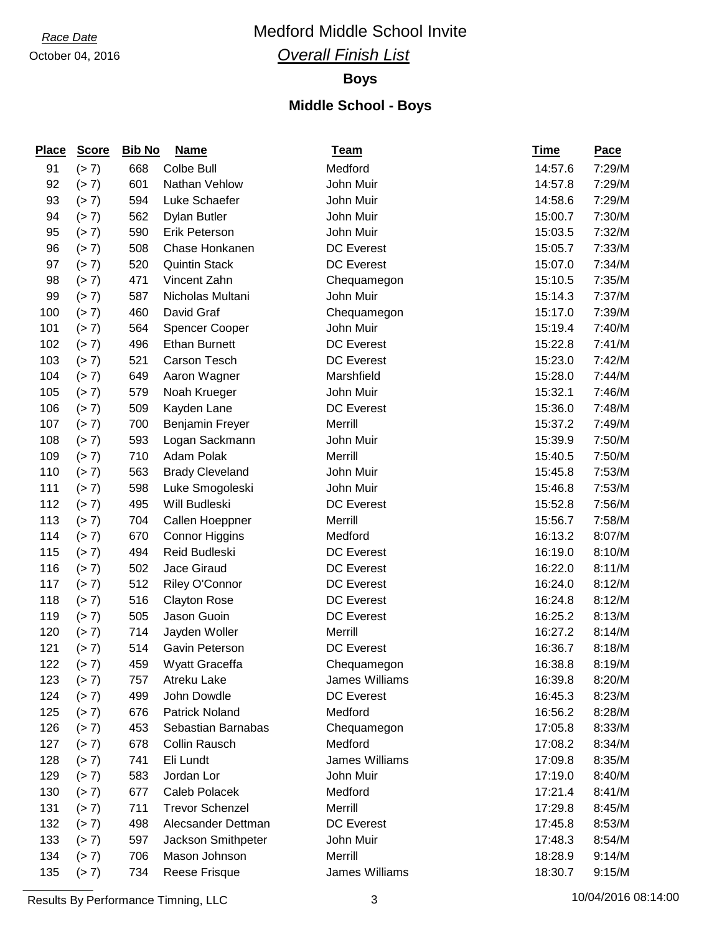*Race Date* Medford Middle School Invite

## *Overall Finish List*

## **Boys**

## **Middle School - Boys**

| <b>Place</b> | <b>Score</b> | <b>Bib No</b> | <b>Name</b>            | <b>Team</b>       | <u>Time</u> | <b>Pace</b> |
|--------------|--------------|---------------|------------------------|-------------------|-------------|-------------|
| 91           | (> 7)        | 668           | Colbe Bull             | Medford           | 14:57.6     | 7:29/M      |
| 92           | (> 7)        | 601           | Nathan Vehlow          | John Muir         | 14:57.8     | 7:29/M      |
| 93           | (> 7)        | 594           | Luke Schaefer          | John Muir         | 14:58.6     | 7:29/M      |
| 94           | (> 7)        | 562           | <b>Dylan Butler</b>    | John Muir         | 15:00.7     | 7:30/M      |
| 95           | (> 7)        | 590           | <b>Erik Peterson</b>   | John Muir         | 15:03.5     | 7:32/M      |
| 96           | (> 7)        | 508           | Chase Honkanen         | <b>DC Everest</b> | 15:05.7     | 7:33/M      |
| 97           | (> 7)        | 520           | <b>Quintin Stack</b>   | <b>DC</b> Everest | 15:07.0     | 7:34/M      |
| 98           | (> 7)        | 471           | Vincent Zahn           | Chequamegon       | 15:10.5     | 7:35/M      |
| 99           | (> 7)        | 587           | Nicholas Multani       | John Muir         | 15:14.3     | 7:37/M      |
| 100          | (> 7)        | 460           | David Graf             | Chequamegon       | 15:17.0     | 7:39/M      |
| 101          | (> 7)        | 564           | <b>Spencer Cooper</b>  | John Muir         | 15:19.4     | 7:40/M      |
| 102          | (> 7)        | 496           | <b>Ethan Burnett</b>   | <b>DC</b> Everest | 15:22.8     | 7:41/M      |
| 103          | (> 7)        | 521           | Carson Tesch           | <b>DC</b> Everest | 15:23.0     | 7:42/M      |
| 104          | (> 7)        | 649           | Aaron Wagner           | Marshfield        | 15:28.0     | 7:44/M      |
| 105          | (> 7)        | 579           | Noah Krueger           | John Muir         | 15:32.1     | 7:46/M      |
| 106          | (> 7)        | 509           | Kayden Lane            | <b>DC</b> Everest | 15:36.0     | 7:48/M      |
| 107          | (> 7)        | 700           | Benjamin Freyer        | Merrill           | 15:37.2     | 7:49/M      |
| 108          | (> 7)        | 593           | Logan Sackmann         | John Muir         | 15:39.9     | 7:50/M      |
| 109          | (> 7)        | 710           | Adam Polak             | Merrill           | 15:40.5     | 7:50/M      |
| 110          | (> 7)        | 563           | <b>Brady Cleveland</b> | John Muir         | 15:45.8     | 7:53/M      |
| 111          | (> 7)        | 598           | Luke Smogoleski        | John Muir         | 15:46.8     | 7:53/M      |
| 112          | (> 7)        | 495           | Will Budleski          | DC Everest        | 15:52.8     | 7:56/M      |
| 113          | (> 7)        | 704           | Callen Hoeppner        | Merrill           | 15:56.7     | 7:58/M      |
| 114          | (> 7)        | 670           | <b>Connor Higgins</b>  | Medford           | 16:13.2     | 8:07/M      |
| 115          | (> 7)        | 494           | Reid Budleski          | <b>DC Everest</b> | 16:19.0     | 8:10/M      |
| 116          | (> 7)        | 502           | Jace Giraud            | <b>DC</b> Everest | 16:22.0     | 8:11/M      |
| 117          | (> 7)        | 512           | Riley O'Connor         | <b>DC Everest</b> | 16:24.0     | 8:12/M      |
| 118          | (> 7)        | 516           | <b>Clayton Rose</b>    | <b>DC Everest</b> | 16:24.8     | 8:12/M      |
| 119          | (> 7)        | 505           | Jason Guoin            | <b>DC Everest</b> | 16:25.2     | 8:13/M      |
| 120          | (> 7)        | 714           | Jayden Woller          | Merrill           | 16:27.2     | 8:14/M      |
| 121          | (> 7)        | 514           | Gavin Peterson         | <b>DC</b> Everest | 16:36.7     | 8:18/M      |
| 122          | (> 7)        | 459           | Wyatt Graceffa         | Chequamegon       | 16:38.8     | 8:19/M      |
| 123          | (> 7)        | 757           | Atreku Lake            | James Williams    | 16:39.8     | 8:20/M      |
| 124          | (> 7)        | 499           | John Dowdle            | <b>DC</b> Everest | 16:45.3     | 8:23/M      |
| 125          | (> 7)        | 676           | <b>Patrick Noland</b>  | Medford           | 16:56.2     | 8:28/M      |
| 126          | (> 7)        | 453           | Sebastian Barnabas     | Chequamegon       | 17:05.8     | 8:33/M      |
| 127          | (> 7)        | 678           | Collin Rausch          | Medford           | 17:08.2     | 8:34/M      |
| 128          | (> 7)        | 741           | Eli Lundt              | James Williams    | 17:09.8     | 8:35/M      |
| 129          | (> 7)        | 583           | Jordan Lor             | John Muir         | 17:19.0     | 8:40/M      |
| 130          | (> 7)        | 677           | <b>Caleb Polacek</b>   | Medford           | 17:21.4     | 8:41/M      |
| 131          | (> 7)        | 711           | <b>Trevor Schenzel</b> | Merrill           | 17:29.8     | 8:45/M      |
| 132          | (> 7)        | 498           | Alecsander Dettman     | <b>DC</b> Everest | 17:45.8     | 8:53/M      |
| 133          | (> 7)        | 597           | Jackson Smithpeter     | John Muir         | 17:48.3     | 8:54/M      |
| 134          | (> 7)        | 706           | Mason Johnson          | Merrill           | 18:28.9     | 9:14/M      |
| 135          | (> 7)        | 734           | Reese Frisque          | James Williams    | 18:30.7     | 9:15/M      |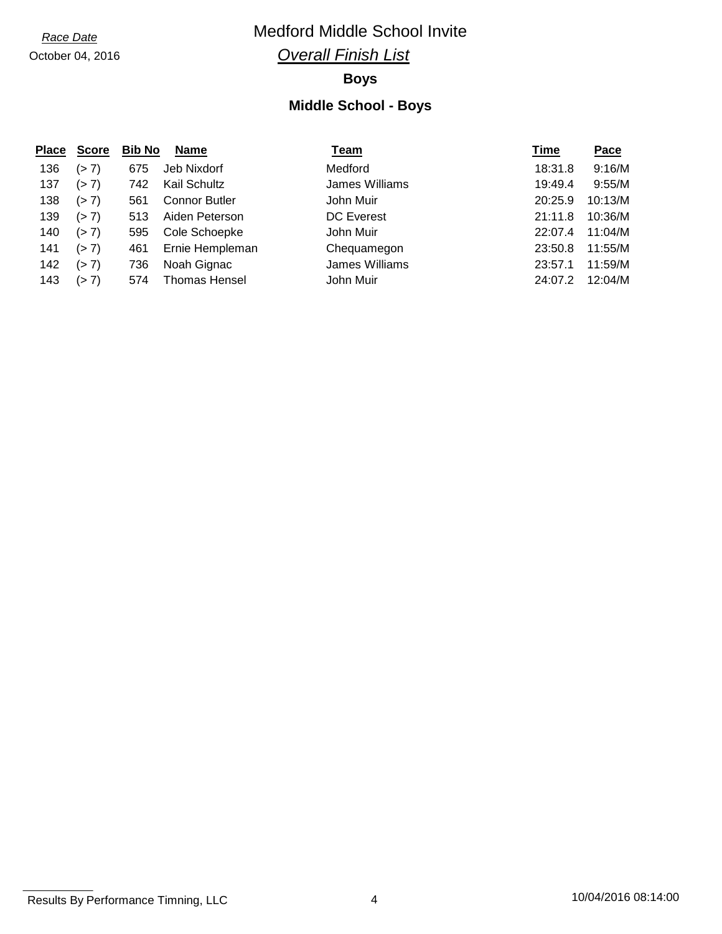## *Race Date* Medford Middle School Invite

## *Overall Finish List*

## **Boys**

| <b>Place</b> | <b>Score</b> | <b>Bib No</b> | <b>Name</b>          | <u>Team</u>       | Time    | <b>Pace</b> |
|--------------|--------------|---------------|----------------------|-------------------|---------|-------------|
| 136          | (> 7)        | 675           | Jeb Nixdorf          | Medford           | 18:31.8 | 9:16/M      |
| 137          | (> 7)        | 742           | Kail Schultz         | James Williams    | 19:49.4 | 9:55/M      |
| 138          | (> 7)        | 561           | <b>Connor Butler</b> | John Muir         | 20:25.9 | 10:13/M     |
| 139          | (> 7)        | 513           | Aiden Peterson       | <b>DC</b> Everest | 21:11.8 | 10:36/M     |
| 140          | (> 7)        | 595           | Cole Schoepke        | John Muir         | 22:07.4 | 11:04/M     |
| 141          | (> 7)        | 461           | Ernie Hempleman      | Chequamegon       | 23:50.8 | 11:55/M     |
| 142          | (> 7)        | 736           | Noah Gignac          | James Williams    | 23:57.1 | 11:59/M     |
| 143          | (> 7)        | 574           | <b>Thomas Hensel</b> | John Muir         | 24:07.2 | 12:04/M     |

Results By Performance Timning, LLC 4 10/04/2016 08:14:00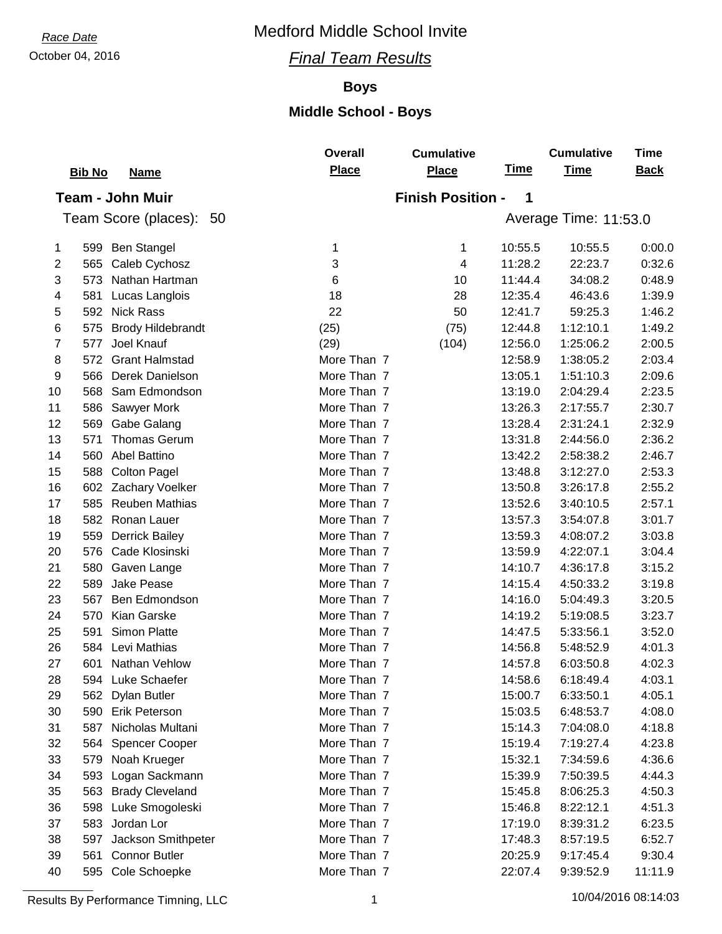## October 04, 2016 *Final Team Results*

## **Boys**

## **Middle School - Boys**

|    |                                 | <b>Overall</b> | <b>Cumulative</b>        |             | <b>Cumulative</b>     | <b>Time</b> |
|----|---------------------------------|----------------|--------------------------|-------------|-----------------------|-------------|
|    | <b>Bib No</b><br><b>Name</b>    | <b>Place</b>   | <b>Place</b>             | <b>Time</b> | <b>Time</b>           | <b>Back</b> |
|    | <b>Team - John Muir</b>         |                | <b>Finish Position -</b> | 1           |                       |             |
|    | Team Score (places): 50         |                |                          |             | Average Time: 11:53.0 |             |
|    |                                 |                |                          |             |                       |             |
| 1  | 599 Ben Stangel                 | 1              | 1                        | 10:55.5     | 10:55.5               | 0:00.0      |
| 2  | Caleb Cychosz<br>565            | 3              | 4                        | 11:28.2     | 22:23.7               | 0:32.6      |
| 3  | Nathan Hartman<br>573           | 6              | 10                       | 11:44.4     | 34:08.2               | 0:48.9      |
| 4  | Lucas Langlois<br>581           | 18             | 28                       | 12:35.4     | 46:43.6               | 1:39.9      |
| 5  | <b>Nick Rass</b><br>592         | 22             | 50                       | 12:41.7     | 59:25.3               | 1:46.2      |
| 6  | <b>Brody Hildebrandt</b><br>575 | (25)           | (75)                     | 12:44.8     | 1:12:10.1             | 1:49.2      |
| 7  | 577<br>Joel Knauf               | (29)           | (104)                    | 12:56.0     | 1:25:06.2             | 2:00.5      |
| 8  | 572<br><b>Grant Halmstad</b>    | More Than 7    |                          | 12:58.9     | 1:38:05.2             | 2:03.4      |
| 9  | Derek Danielson<br>566          | More Than 7    |                          | 13:05.1     | 1:51:10.3             | 2:09.6      |
| 10 | 568<br>Sam Edmondson            | More Than 7    |                          | 13:19.0     | 2:04:29.4             | 2:23.5      |
| 11 | 586<br>Sawyer Mork              | More Than 7    |                          | 13:26.3     | 2:17:55.7             | 2:30.7      |
| 12 | 569<br>Gabe Galang              | More Than 7    |                          | 13:28.4     | 2:31:24.1             | 2:32.9      |
| 13 | 571<br><b>Thomas Gerum</b>      | More Than 7    |                          | 13:31.8     | 2:44:56.0             | 2:36.2      |
| 14 | Abel Battino<br>560             | More Than 7    |                          | 13:42.2     | 2:58:38.2             | 2:46.7      |
| 15 | <b>Colton Pagel</b><br>588      | More Than 7    |                          | 13:48.8     | 3:12:27.0             | 2:53.3      |
| 16 | Zachary Voelker<br>602          | More Than 7    |                          | 13:50.8     | 3:26:17.8             | 2:55.2      |
| 17 | 585<br><b>Reuben Mathias</b>    | More Than 7    |                          | 13:52.6     | 3:40:10.5             | 2:57.1      |
| 18 | 582<br>Ronan Lauer              | More Than 7    |                          | 13:57.3     | 3:54:07.8             | 3:01.7      |
| 19 | <b>Derrick Bailey</b><br>559    | More Than 7    |                          | 13:59.3     | 4:08:07.2             | 3:03.8      |
| 20 | 576<br>Cade Klosinski           | More Than 7    |                          | 13:59.9     | 4:22:07.1             | 3:04.4      |
| 21 | 580<br>Gaven Lange              | More Than 7    |                          | 14:10.7     | 4:36:17.8             | 3:15.2      |
| 22 | 589<br>Jake Pease               | More Than 7    |                          | 14:15.4     | 4:50:33.2             | 3:19.8      |
| 23 | 567<br>Ben Edmondson            | More Than 7    |                          | 14:16.0     | 5:04:49.3             | 3:20.5      |
| 24 | Kian Garske<br>570              | More Than 7    |                          | 14:19.2     | 5:19:08.5             | 3:23.7      |
| 25 | 591<br><b>Simon Platte</b>      | More Than 7    |                          | 14:47.5     | 5:33:56.1             | 3:52.0      |
| 26 | 584<br>Levi Mathias             | More Than 7    |                          | 14:56.8     | 5:48:52.9             | 4:01.3      |
| 27 | 601 Nathan Vehlow               | More Than 7    |                          | 14:57.8     | 6:03:50.8             | 4:02.3      |
| 28 | Luke Schaefer<br>594            | More Than 7    |                          | 14:58.6     | 6:18:49.4             | 4:03.1      |
| 29 | 562<br>Dylan Butler             | More Than 7    |                          | 15:00.7     | 6:33:50.1             | 4:05.1      |
| 30 | 590<br><b>Erik Peterson</b>     | More Than 7    |                          | 15:03.5     | 6:48:53.7             | 4:08.0      |
| 31 | 587<br>Nicholas Multani         | More Than 7    |                          | 15:14.3     | 7:04:08.0             | 4:18.8      |
| 32 | 564<br><b>Spencer Cooper</b>    | More Than 7    |                          | 15:19.4     | 7:19:27.4             | 4:23.8      |
| 33 | 579<br>Noah Krueger             | More Than 7    |                          | 15:32.1     | 7:34:59.6             | 4:36.6      |
| 34 | 593 Logan Sackmann              | More Than 7    |                          | 15:39.9     | 7:50:39.5             | 4:44.3      |
| 35 | <b>Brady Cleveland</b><br>563   | More Than 7    |                          | 15:45.8     | 8:06:25.3             | 4:50.3      |
| 36 | 598<br>Luke Smogoleski          | More Than 7    |                          | 15:46.8     | 8:22:12.1             | 4:51.3      |
| 37 | 583<br>Jordan Lor               | More Than 7    |                          | 17:19.0     | 8:39:31.2             | 6:23.5      |
| 38 | Jackson Smithpeter<br>597       | More Than 7    |                          | 17:48.3     | 8:57:19.5             | 6:52.7      |
| 39 | 561<br><b>Connor Butler</b>     | More Than 7    |                          | 20:25.9     | 9:17:45.4             | 9:30.4      |
| 40 | Cole Schoepke<br>595            | More Than 7    |                          | 22:07.4     | 9:39:52.9             | 11:11.9     |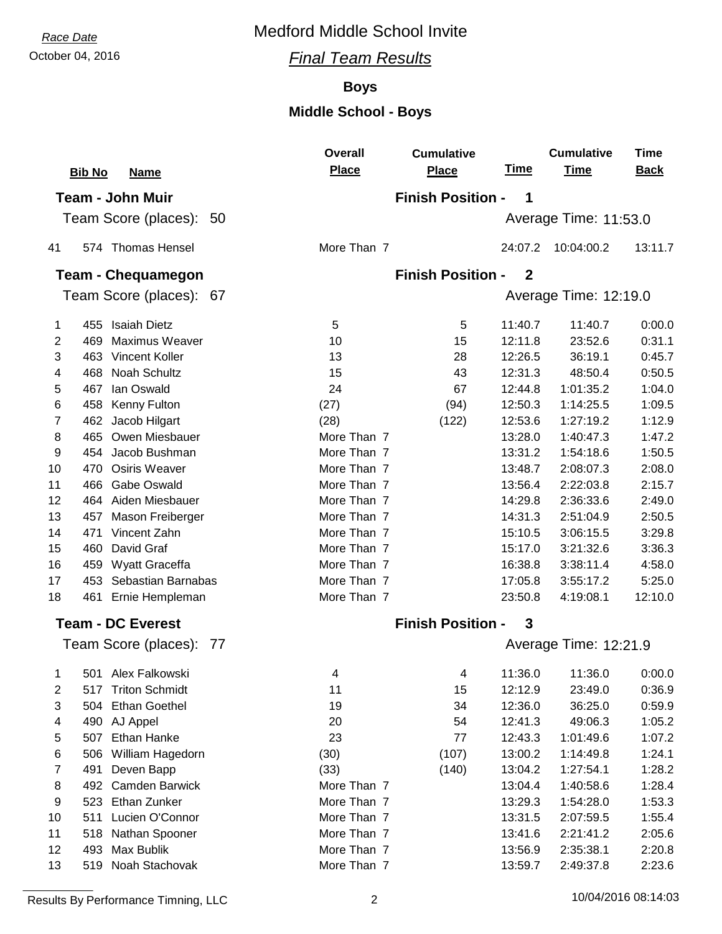## October 04, 2016 *Final Team Results*

## **Boys**

## **Middle School - Boys**

|                |                              | <b>Overall</b> | <b>Cumulative</b>        |                  | <b>Cumulative</b>     | <b>Time</b> |
|----------------|------------------------------|----------------|--------------------------|------------------|-----------------------|-------------|
|                | <b>Bib No</b><br><b>Name</b> | Place          | <b>Place</b>             | <b>Time</b>      | <b>Time</b>           | <b>Back</b> |
|                | <b>Team - John Muir</b>      |                | <b>Finish Position -</b> | 1                |                       |             |
|                | Team Score (places): 50      |                |                          |                  | Average Time: 11:53.0 |             |
| 41             | 574 Thomas Hensel            | More Than 7    |                          | 24:07.2          | 10:04:00.2            | 13:11.7     |
|                | <b>Team - Chequamegon</b>    |                | <b>Finish Position -</b> | $\boldsymbol{2}$ |                       |             |
|                | Team Score (places): 67      |                |                          |                  | Average Time: 12:19.0 |             |
| 1              | 455 Isaiah Dietz             | 5              | 5                        | 11:40.7          | 11:40.7               | 0:00.0      |
| 2              | 469<br><b>Maximus Weaver</b> | 10             | 15                       | 12:11.8          | 23:52.6               | 0:31.1      |
| 3              | 463 Vincent Koller           | 13             | 28                       | 12:26.5          | 36:19.1               | 0:45.7      |
| 4              | Noah Schultz<br>468          | 15             | 43                       | 12:31.3          | 48:50.4               | 0:50.5      |
| 5              | lan Oswald<br>467            | 24             | 67                       | 12:44.8          | 1:01:35.2             | 1:04.0      |
| 6              | Kenny Fulton<br>458          | (27)           | (94)                     | 12:50.3          | 1:14:25.5             | 1:09.5      |
| $\overline{7}$ | 462 Jacob Hilgart            | (28)           | (122)                    | 12:53.6          | 1:27:19.2             | 1:12.9      |
| 8              | Owen Miesbauer<br>465        | More Than 7    |                          | 13:28.0          | 1:40:47.3             | 1:47.2      |
| 9              | 454 Jacob Bushman            | More Than 7    |                          | 13:31.2          | 1:54:18.6             | 1:50.5      |
| 10             | <b>Osiris Weaver</b><br>470  | More Than 7    |                          | 13:48.7          | 2:08:07.3             | 2:08.0      |
| 11             | <b>Gabe Oswald</b><br>466    | More Than 7    |                          | 13:56.4          | 2:22:03.8             | 2:15.7      |
| 12             | 464 Aiden Miesbauer          | More Than 7    |                          | 14:29.8          | 2:36:33.6             | 2:49.0      |
| 13             | Mason Freiberger<br>457      | More Than 7    |                          | 14:31.3          | 2:51:04.9             | 2:50.5      |
| 14             | Vincent Zahn<br>471          | More Than 7    |                          | 15:10.5          | 3:06:15.5             | 3:29.8      |
| 15             | David Graf<br>460            | More Than 7    |                          | 15:17.0          | 3:21:32.6             | 3:36.3      |
| 16             | 459<br>Wyatt Graceffa        | More Than 7    |                          | 16:38.8          | 3:38:11.4             | 4:58.0      |
| 17             | Sebastian Barnabas<br>453    | More Than 7    |                          | 17:05.8          | 3:55:17.2             | 5:25.0      |
| 18             | Ernie Hempleman<br>461       | More Than 7    |                          | 23:50.8          | 4:19:08.1             | 12:10.0     |
|                | <b>Team - DC Everest</b>     |                | <b>Finish Position -</b> | 3                |                       |             |
|                | Team Score (places):<br>-77  |                |                          |                  | Average Time: 12:21.9 |             |
| $1 \quad$      | 501 Alex Falkowski           | 4              | 4                        | 11:36.0          | 11:36.0               | 0:00.0      |
| 2              | 517 Triton Schmidt           | 11             | 15                       | 12:12.9          | 23:49.0               | 0:36.9      |
| 3              | 504 Ethan Goethel            | 19             | 34                       | 12:36.0          | 36:25.0               | 0:59.9      |
| 4              | 490 AJ Appel                 | 20             | 54                       | 12:41.3          | 49:06.3               | 1:05.2      |
| 5              | <b>Ethan Hanke</b><br>507    | 23             | 77                       | 12:43.3          | 1:01:49.6             | 1:07.2      |
| 6              | 506 William Hagedorn         | (30)           | (107)                    | 13:00.2          | 1:14:49.8             | 1:24.1      |
| 7              | 491<br>Deven Bapp            | (33)           | (140)                    | 13:04.2          | 1:27:54.1             | 1:28.2      |
| 8              | 492<br><b>Camden Barwick</b> | More Than 7    |                          | 13:04.4          | 1:40:58.6             | 1:28.4      |
| 9              | 523 Ethan Zunker             | More Than 7    |                          | 13:29.3          | 1:54:28.0             | 1:53.3      |
| 10             | Lucien O'Connor<br>511       | More Than 7    |                          | 13:31.5          | 2:07:59.5             | 1:55.4      |
| 11             | 518<br>Nathan Spooner        | More Than 7    |                          | 13:41.6          | 2:21:41.2             | 2:05.6      |
| 12             | Max Bublik<br>493            | More Than 7    |                          | 13:56.9          | 2:35:38.1             | 2:20.8      |
| 13             | 519 Noah Stachovak           | More Than 7    |                          | 13:59.7          | 2:49:37.8             | 2:23.6      |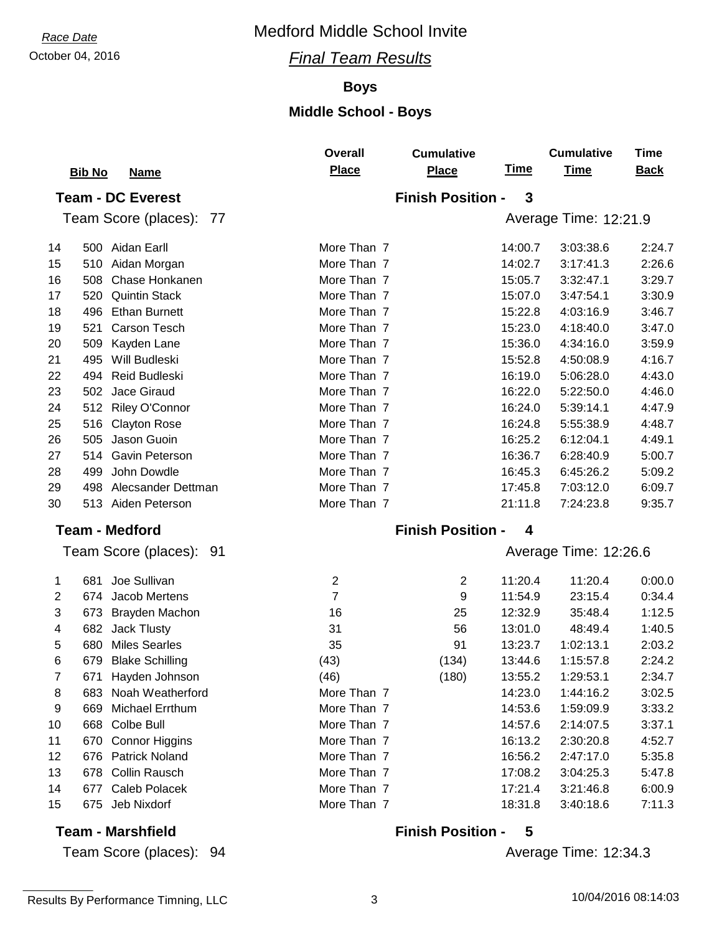## October 04, 2016 *Final Team Results*

#### **Boys**

## **Middle School - Boys**

|    | <b>Bib No</b>                 | <b>Overall</b><br>Place | <b>Cumulative</b><br><b>Place</b> | <u>Time</u> | <b>Cumulative</b><br><b>Time</b> | <b>Time</b><br><b>Back</b> |
|----|-------------------------------|-------------------------|-----------------------------------|-------------|----------------------------------|----------------------------|
|    | <u>Name</u>                   |                         |                                   |             |                                  |                            |
|    | <b>Team - DC Everest</b>      |                         | <b>Finish Position -</b>          | 3           |                                  |                            |
|    | Team Score (places): 77       |                         |                                   |             | Average Time: 12:21.9            |                            |
| 14 | 500 Aidan Earll               | More Than 7             |                                   | 14:00.7     | 3:03:38.6                        | 2:24.7                     |
| 15 | Aidan Morgan<br>510           | More Than 7             |                                   | 14:02.7     | 3:17:41.3                        | 2:26.6                     |
| 16 | 508<br>Chase Honkanen         | More Than 7             |                                   | 15:05.7     | 3:32:47.1                        | 3:29.7                     |
| 17 | 520<br><b>Quintin Stack</b>   | More Than 7             |                                   | 15:07.0     | 3:47:54.1                        | 3:30.9                     |
| 18 | 496<br><b>Ethan Burnett</b>   | More Than 7             |                                   | 15:22.8     | 4:03:16.9                        | 3:46.7                     |
| 19 | 521<br>Carson Tesch           | More Than 7             |                                   | 15:23.0     | 4:18:40.0                        | 3:47.0                     |
| 20 | 509<br>Kayden Lane            | More Than 7             |                                   | 15:36.0     | 4:34:16.0                        | 3:59.9                     |
| 21 | Will Budleski<br>495          | More Than 7             |                                   | 15:52.8     | 4:50:08.9                        | 4:16.7                     |
| 22 | <b>Reid Budleski</b><br>494   | More Than 7             |                                   | 16:19.0     | 5:06:28.0                        | 4:43.0                     |
| 23 | Jace Giraud<br>502            | More Than 7             |                                   | 16:22.0     | 5:22:50.0                        | 4:46.0                     |
| 24 | Riley O'Connor<br>512         | More Than 7             |                                   | 16:24.0     | 5:39:14.1                        | 4:47.9                     |
| 25 | 516<br><b>Clayton Rose</b>    | More Than 7             |                                   | 16:24.8     | 5:55:38.9                        | 4:48.7                     |
| 26 | 505<br>Jason Guoin            | More Than 7             |                                   | 16:25.2     | 6:12:04.1                        | 4:49.1                     |
| 27 | Gavin Peterson<br>514         | More Than 7             |                                   | 16:36.7     | 6:28:40.9                        | 5:00.7                     |
| 28 | John Dowdle<br>499            | More Than 7             |                                   | 16:45.3     | 6:45:26.2                        | 5:09.2                     |
| 29 | 498<br>Alecsander Dettman     | More Than 7             |                                   | 17:45.8     | 7:03:12.0                        | 6:09.7                     |
| 30 | 513 Aiden Peterson            | More Than 7             |                                   | 21:11.8     | 7:24:23.8                        | 9:35.7                     |
|    | <b>Team - Medford</b>         |                         | <b>Finish Position -</b>          | 4           |                                  |                            |
|    | Team Score (places): 91       |                         |                                   |             | Average Time: 12:26.6            |                            |
| 1  | Joe Sullivan<br>681           | $\overline{2}$          | 2                                 | 11:20.4     | 11:20.4                          | 0:00.0                     |
| 2  | 674<br>Jacob Mertens          | $\overline{7}$          | 9                                 | 11:54.9     | 23:15.4                          | 0:34.4                     |
| 3  | Brayden Machon<br>673         | 16                      | 25                                | 12:32.9     | 35:48.4                          | 1:12.5                     |
| 4  | 682 Jack Tlusty               | 31                      | 56                                | 13:01.0     | 48:49.4                          | 1:40.5                     |
| 5  | <b>Miles Searles</b><br>680   | 35                      | 91                                | 13:23.7     | 1:02:13.1                        | 2:03.2                     |
| 6  | <b>Blake Schilling</b><br>679 | (43)                    | (134)                             | 13:44.6     | 1:15:57.8                        | 2:24.2                     |
| 7  | Hayden Johnson<br>671         | (46)                    | (180)                             | 13:55.2     | 1:29:53.1                        | 2:34.7                     |
| 8  | Noah Weatherford<br>683       | More Than 7             |                                   | 14:23.0     | 1:44:16.2                        | 3:02.5                     |
| 9  | Michael Errthum<br>669        | More Than 7             |                                   | 14:53.6     | 1:59:09.9                        | 3:33.2                     |
| 10 | Colbe Bull<br>668             | More Than 7             |                                   | 14:57.6     | 2:14:07.5                        | 3:37.1                     |
| 11 | <b>Connor Higgins</b><br>670  | More Than 7             |                                   | 16:13.2     | 2:30:20.8                        | 4:52.7                     |
| 12 | 676<br><b>Patrick Noland</b>  | More Than 7             |                                   | 16:56.2     | 2:47:17.0                        | 5:35.8                     |
| 13 | 678<br><b>Collin Rausch</b>   | More Than 7             |                                   | 17:08.2     | 3:04:25.3                        | 5:47.8                     |
| 14 | Caleb Polacek<br>677          | More Than 7             |                                   | 17:21.4     | 3:21:46.8                        | 6:00.9                     |
| 15 | Jeb Nixdorf<br>675            | More Than 7             |                                   | 18:31.8     | 3:40:18.6                        | 7:11.3                     |
|    | <b>Team - Marshfield</b>      |                         | <b>Finish Position -</b>          | 5           |                                  |                            |

## Average Time: 12:34.3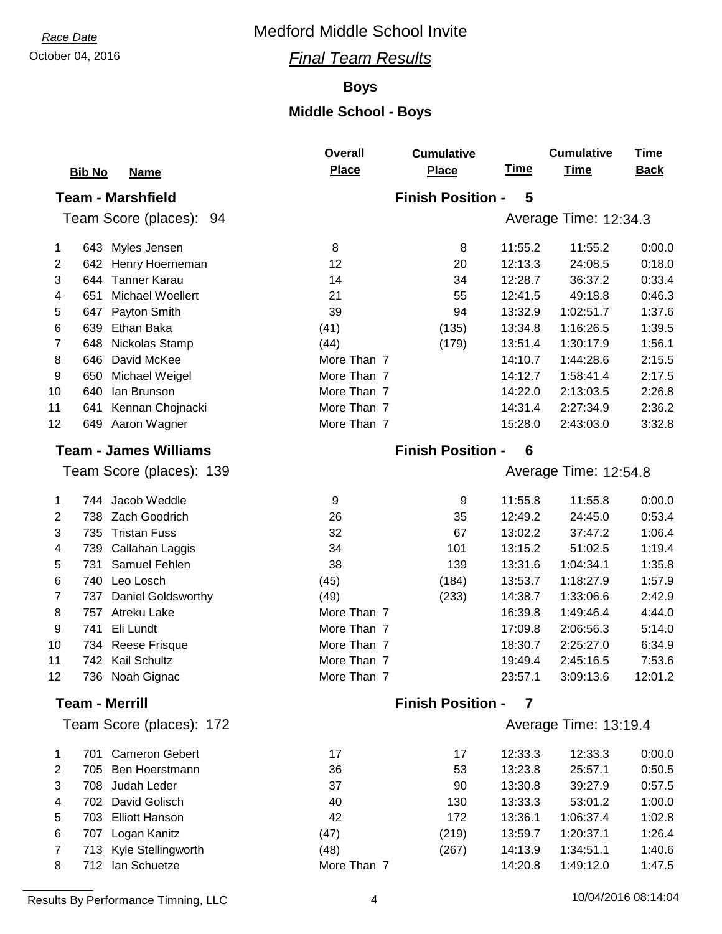## October 04, 2016 *Final Team Results*

## **Boys**

## **Middle School - Boys**

|                         |                              | <b>Overall</b> | <b>Cumulative</b>        |             | <b>Cumulative</b>     | Time        |
|-------------------------|------------------------------|----------------|--------------------------|-------------|-----------------------|-------------|
|                         | <b>Bib No</b><br><b>Name</b> | <b>Place</b>   | <b>Place</b>             | <b>Time</b> | <b>Time</b>           | <b>Back</b> |
|                         | <b>Team - Marshfield</b>     |                | <b>Finish Position -</b> | 5           |                       |             |
|                         | Team Score (places): 94      |                |                          |             | Average Time: 12:34.3 |             |
| 1                       | 643 Myles Jensen             | 8              | 8                        | 11:55.2     | 11:55.2               | 0:00.0      |
| $\mathbf{2}$            | 642<br>Henry Hoerneman       | 12             | 20                       | 12:13.3     | 24:08.5               | 0:18.0      |
| 3                       | <b>Tanner Karau</b><br>644   | 14             | 34                       | 12:28.7     | 36:37.2               | 0:33.4      |
| 4                       | Michael Woellert<br>651      | 21             | 55                       | 12:41.5     | 49:18.8               | 0:46.3      |
| 5                       | Payton Smith<br>647          | 39             | 94                       | 13:32.9     | 1:02:51.7             | 1:37.6      |
| 6                       | 639<br>Ethan Baka            | (41)           | (135)                    | 13:34.8     | 1:16:26.5             | 1:39.5      |
| 7                       | 648<br>Nickolas Stamp        | (44)           | (179)                    | 13:51.4     | 1:30:17.9             | 1:56.1      |
| 8                       | David McKee<br>646           | More Than 7    |                          | 14:10.7     | 1:44:28.6             | 2:15.5      |
| 9                       | Michael Weigel<br>650        | More Than 7    |                          | 14:12.7     | 1:58:41.4             | 2:17.5      |
| 10                      | 640<br>lan Brunson           | More Than 7    |                          | 14:22.0     | 2:13:03.5             | 2:26.8      |
| 11                      | Kennan Chojnacki<br>641      | More Than 7    |                          | 14:31.4     | 2:27:34.9             | 2:36.2      |
| 12                      | 649 Aaron Wagner             | More Than 7    |                          | 15:28.0     | 2:43:03.0             | 3:32.8      |
|                         | <b>Team - James Williams</b> |                | <b>Finish Position -</b> | 6           |                       |             |
|                         | Team Score (places): 139     |                |                          |             | Average Time: 12:54.8 |             |
| 1                       | 744 Jacob Weddle             | 9              | 9                        | 11:55.8     | 11:55.8               | 0:00.0      |
| $\overline{2}$          | 738 Zach Goodrich            | 26             | 35                       | 12:49.2     | 24:45.0               | 0:53.4      |
| 3                       | <b>Tristan Fuss</b><br>735   | 32             | 67                       | 13:02.2     | 37:47.2               | 1:06.4      |
| 4                       | 739<br>Callahan Laggis       | 34             | 101                      | 13:15.2     | 51:02.5               | 1:19.4      |
| 5                       | 731<br>Samuel Fehlen         | 38             | 139                      | 13:31.6     | 1:04:34.1             | 1:35.8      |
| $\,6$                   | 740<br>Leo Losch             | (45)           | (184)                    | 13:53.7     | 1:18:27.9             | 1:57.9      |
| 7                       | Daniel Goldsworthy<br>737    | (49)           | (233)                    | 14:38.7     | 1:33:06.6             | 2:42.9      |
| $\bf 8$                 | 757<br>Atreku Lake           | More Than 7    |                          | 16:39.8     | 1:49:46.4             | 4:44.0      |
| 9                       | 741<br>Eli Lundt             | More Than 7    |                          | 17:09.8     | 2:06:56.3             | 5:14.0      |
| 10                      | Reese Frisque<br>734         | More Than 7    |                          | 18:30.7     | 2:25:27.0             | 6:34.9      |
| 11                      | Kail Schultz<br>742          | More Than 7    |                          | 19:49.4     | 2:45:16.5             | 7:53.6      |
| 12                      | 736 Noah Gignac              | More Than 7    |                          | 23:57.1     | 3:09:13.6             | 12:01.2     |
|                         | <b>Team - Merrill</b>        |                | <b>Finish Position -</b> | 7           |                       |             |
|                         | Team Score (places): 172     |                |                          |             | Average Time: 13:19.4 |             |
| 1                       | 701 Cameron Gebert           | 17             | 17                       | 12:33.3     | 12:33.3               | 0:00.0      |
| $\overline{\mathbf{c}}$ | 705<br>Ben Hoerstmann        | 36             | 53                       | 13:23.8     | 25:57.1               | 0:50.5      |
| 3                       | 708 Judah Leder              | 37             | 90                       | 13:30.8     | 39:27.9               | 0:57.5      |
| 4                       | 702<br>David Golisch         | 40             | 130                      | 13:33.3     | 53:01.2               | 1:00.0      |
| 5                       | <b>Elliott Hanson</b><br>703 | 42             | 172                      | 13:36.1     | 1:06:37.4             | 1:02.8      |
| $\,6$                   | 707<br>Logan Kanitz          | (47)           | (219)                    | 13:59.7     | 1:20:37.1             | 1:26.4      |
| $\overline{7}$          | 713 Kyle Stellingworth       | (48)           | (267)                    | 14:13.9     | 1:34:51.1             | 1:40.6      |
| 8                       | 712 Ian Schuetze             | More Than 7    |                          | 14:20.8     | 1:49:12.0             | 1:47.5      |
|                         |                              |                |                          |             |                       |             |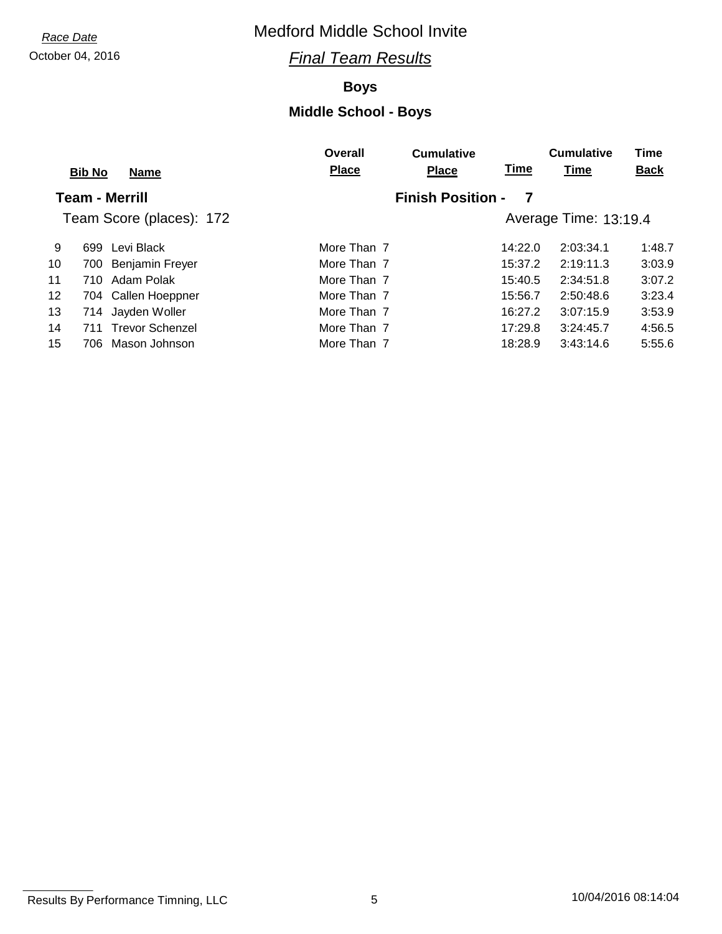## October 04, 2016 *Final Team Results*

## **Boys**

|    | <b>Bib No</b><br><b>Name</b> | Overall<br><b>Place</b> | <b>Cumulative</b><br><b>Place</b> | <u>Time</u> | <b>Cumulative</b><br><b>Time</b> | Time<br><b>Back</b> |
|----|------------------------------|-------------------------|-----------------------------------|-------------|----------------------------------|---------------------|
|    | <b>Team - Merrill</b>        |                         | <b>Finish Position -</b>          | 7           |                                  |                     |
|    | Team Score (places): 172     |                         |                                   |             | Average Time: 13:19.4            |                     |
| 9  | 699 Levi Black               | More Than 7             |                                   | 14:22.0     | 2:03:34.1                        | 1:48.7              |
| 10 | 700 Benjamin Freyer          | More Than 7             |                                   | 15:37.2     | 2:19:11.3                        | 3:03.9              |
| 11 | 710 Adam Polak               | More Than 7             |                                   | 15:40.5     | 2:34:51.8                        | 3:07.2              |
| 12 | 704 Callen Hoeppner          | More Than 7             |                                   | 15:56.7     | 2:50:48.6                        | 3:23.4              |
| 13 | 714 Jayden Woller            | More Than 7             |                                   | 16:27.2     | 3:07:15.9                        | 3:53.9              |
| 14 | 711 Trevor Schenzel          | More Than 7             |                                   | 17:29.8     | 3:24:45.7                        | 4:56.5              |
| 15 | 706 Mason Johnson            | More Than 7             |                                   | 18:28.9     | 3:43:14.6                        | 5:55.6              |

Results By Performance Timning, LLC 6 10/04/2016 08:14:04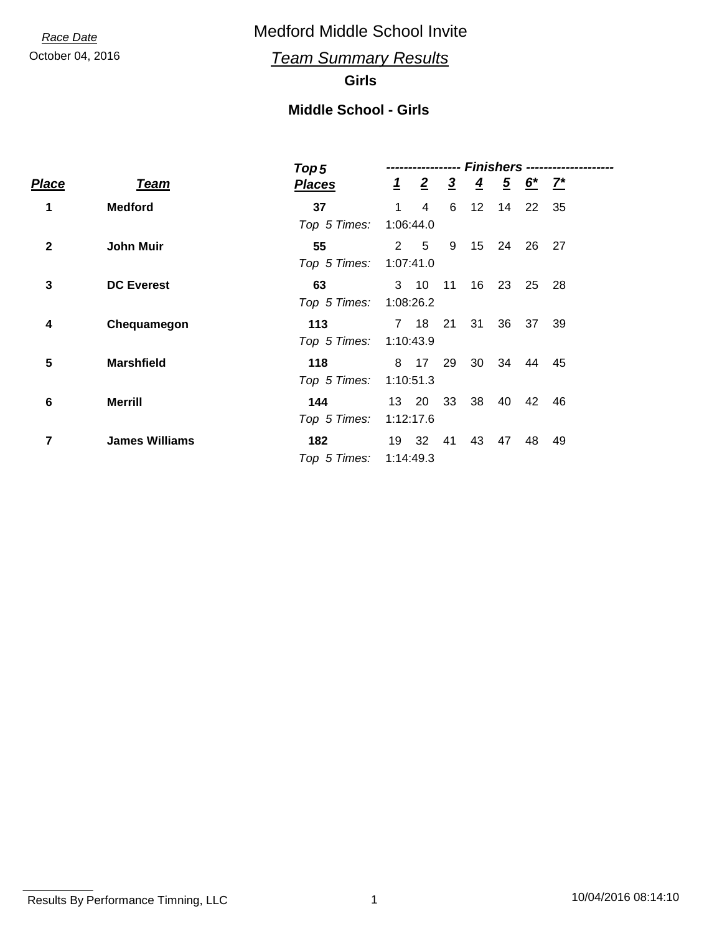October 04, 2016 *Team Summary Results*

## **Girls**

## **Middle School - Girls**

|                         |                       | Top 5         | <b>Finishers --------------</b> |                |                |                 |                |              |       |  |
|-------------------------|-----------------------|---------------|---------------------------------|----------------|----------------|-----------------|----------------|--------------|-------|--|
| Place                   | <b>Team</b>           | <b>Places</b> |                                 | $1\quad 2$     | $\overline{3}$ | $\overline{4}$  | $\overline{5}$ | <u>6* 7*</u> |       |  |
| 1                       | <b>Medford</b>        | 37            | 1                               | $\overline{4}$ | 6              | 12 <sup>°</sup> | 14             |              | 22 35 |  |
|                         |                       | Top 5 Times:  | 1:06:44.0                       |                |                |                 |                |              |       |  |
| $\mathbf{2}$            | <b>John Muir</b>      | 55            | 2                               | $-5$           | 9              | 15 <sup>2</sup> | - 24           | 26           | 27    |  |
|                         |                       | Top 5 Times:  | 1:07:41.0                       |                |                |                 |                |              |       |  |
| 3                       | <b>DC Everest</b>     | 63            |                                 | $3 \quad 10$   | $-11$          | 16              | - 23           | 25           | - 28  |  |
|                         |                       | Top 5 Times:  | 1:08:26.2                       |                |                |                 |                |              |       |  |
| 4                       | Chequamegon           | 113           |                                 | 7 18 21        |                | 31              | 36             |              | 37 39 |  |
|                         |                       | Top 5 Times:  | 1:10:43.9                       |                |                |                 |                |              |       |  |
| $\overline{\mathbf{5}}$ | <b>Marshfield</b>     | 118           |                                 | 8 17           | 29             | 30              | - 34           | 44           | - 45  |  |
|                         |                       | Top 5 Times:  | 1:10:51.3                       |                |                |                 |                |              |       |  |
| 6                       | <b>Merrill</b>        | 144           | 13 20                           |                | 33             | 38              | 40             | 42           | 46    |  |
|                         |                       | Top 5 Times:  | 1:12:17.6                       |                |                |                 |                |              |       |  |
| 7                       | <b>James Williams</b> | 182           |                                 | 19 32          | 41             | 43              | 47             | 48           | 49    |  |
|                         |                       | Top 5 Times:  | 1:14:49.3                       |                |                |                 |                |              |       |  |
|                         |                       |               |                                 |                |                |                 |                |              |       |  |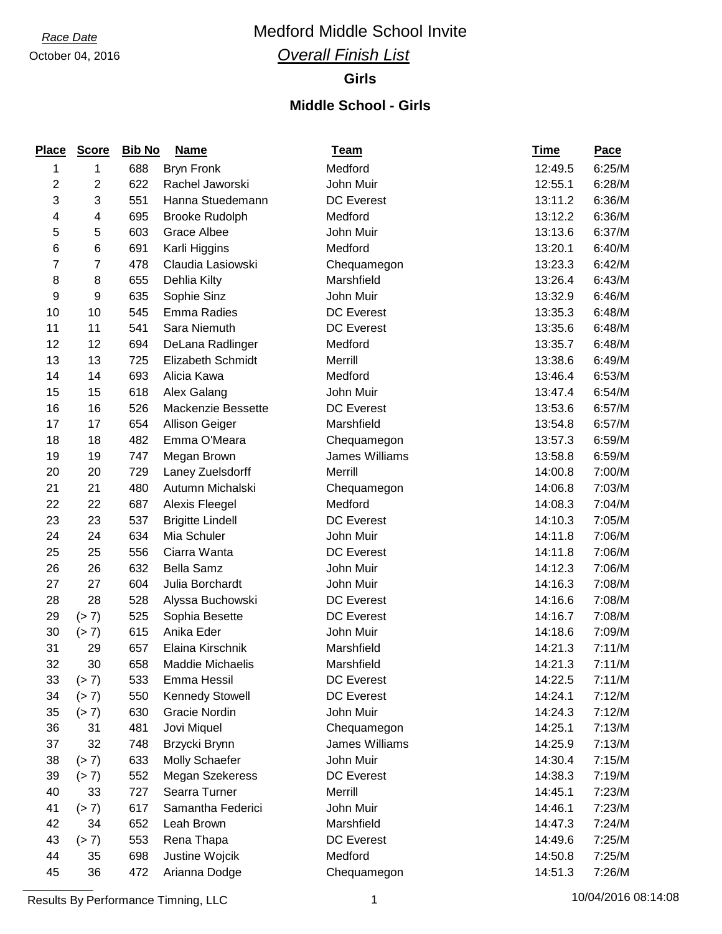## *Race Date* Medford Middle School Invite

## *Overall Finish List*

#### **Girls**

### **Middle School - Girls**

| <b>Place</b>   | <b>Score</b>   | <b>Bib No</b> | <b>Name</b>             | <b>Team</b>       | <u>Time</u> | Pace   |
|----------------|----------------|---------------|-------------------------|-------------------|-------------|--------|
| 1              | 1              | 688           | <b>Bryn Fronk</b>       | Medford           | 12:49.5     | 6:25/M |
| $\mathbf 2$    | $\overline{c}$ | 622           | Rachel Jaworski         | John Muir         | 12:55.1     | 6:28/M |
| 3              | 3              | 551           | Hanna Stuedemann        | <b>DC</b> Everest | 13:11.2     | 6:36/M |
| 4              | 4              | 695           | <b>Brooke Rudolph</b>   | Medford           | 13:12.2     | 6:36/M |
| 5              | 5              | 603           | <b>Grace Albee</b>      | John Muir         | 13:13.6     | 6:37/M |
| 6              | 6              | 691           | Karli Higgins           | Medford           | 13:20.1     | 6:40/M |
| $\overline{7}$ | 7              | 478           | Claudia Lasiowski       | Chequamegon       | 13:23.3     | 6:42/M |
| 8              | 8              | 655           | Dehlia Kilty            | Marshfield        | 13:26.4     | 6:43/M |
| 9              | 9              | 635           | Sophie Sinz             | John Muir         | 13:32.9     | 6:46/M |
| 10             | 10             | 545           | Emma Radies             | DC Everest        | 13:35.3     | 6:48/M |
| 11             | 11             | 541           | Sara Niemuth            | <b>DC</b> Everest | 13:35.6     | 6:48/M |
| 12             | 12             | 694           | DeLana Radlinger        | Medford           | 13:35.7     | 6:48/M |
| 13             | 13             | 725           | Elizabeth Schmidt       | Merrill           | 13:38.6     | 6:49/M |
| 14             | 14             | 693           | Alicia Kawa             | Medford           | 13:46.4     | 6:53/M |
| 15             | 15             | 618           | Alex Galang             | John Muir         | 13:47.4     | 6:54/M |
| 16             | 16             | 526           | Mackenzie Bessette      | DC Everest        | 13:53.6     | 6:57/M |
| 17             | 17             | 654           | <b>Allison Geiger</b>   | Marshfield        | 13:54.8     | 6:57/M |
| 18             | 18             | 482           | Emma O'Meara            | Chequamegon       | 13:57.3     | 6:59/M |
| 19             | 19             | 747           | Megan Brown             | James Williams    | 13:58.8     | 6:59/M |
| 20             | 20             | 729           | Laney Zuelsdorff        | Merrill           | 14:00.8     | 7:00/M |
| 21             | 21             | 480           | Autumn Michalski        | Chequamegon       | 14:06.8     | 7:03/M |
| 22             | 22             | 687           | Alexis Fleegel          | Medford           | 14:08.3     | 7:04/M |
| 23             | 23             | 537           | <b>Brigitte Lindell</b> | <b>DC</b> Everest | 14:10.3     | 7:05/M |
| 24             | 24             | 634           | Mia Schuler             | John Muir         | 14:11.8     | 7:06/M |
| 25             | 25             | 556           | Ciarra Wanta            | <b>DC</b> Everest | 14:11.8     | 7:06/M |
| 26             | 26             | 632           | <b>Bella Samz</b>       | John Muir         | 14:12.3     | 7:06/M |
| 27             | 27             | 604           | Julia Borchardt         | John Muir         | 14:16.3     | 7:08/M |
| 28             | 28             | 528           | Alyssa Buchowski        | DC Everest        | 14:16.6     | 7:08/M |
| 29             | (> 7)          | 525           | Sophia Besette          | <b>DC</b> Everest | 14:16.7     | 7:08/M |
| 30             | (> 7)          | 615           | Anika Eder              | John Muir         | 14:18.6     | 7:09/M |
| 31             | 29             | 657           | Elaina Kirschnik        | Marshfield        | 14:21.3     | 7:11/M |
| 32             | 30             | 658           | Maddie Michaelis        | Marshfield        | 14:21.3     | 7:11/M |
| 33             | (> 7)          | 533           | Emma Hessil             | <b>DC</b> Everest | 14:22.5     | 7:11/M |
| 34             | (> 7)          | 550           | <b>Kennedy Stowell</b>  | DC Everest        | 14:24.1     | 7:12/M |
| 35             | (> 7)          | 630           | Gracie Nordin           | John Muir         | 14:24.3     | 7:12/M |
| 36             | 31             | 481           | Jovi Miquel             | Chequamegon       | 14:25.1     | 7:13/M |
| 37             | 32             | 748           | Brzycki Brynn           | James Williams    | 14:25.9     | 7:13/M |
| 38             | (> 7)          | 633           | Molly Schaefer          | John Muir         | 14:30.4     | 7:15/M |
| 39             | (> 7)          | 552           | Megan Szekeress         | <b>DC Everest</b> | 14:38.3     | 7:19/M |
| 40             | 33             | 727           | Searra Turner           | Merrill           | 14:45.1     | 7:23/M |
| 41             | (> 7)          | 617           | Samantha Federici       | John Muir         | 14:46.1     | 7:23/M |
| 42             | 34             | 652           | Leah Brown              | Marshfield        | 14:47.3     | 7:24/M |
| 43             | (> 7)          | 553           | Rena Thapa              | <b>DC</b> Everest | 14:49.6     | 7:25/M |
| 44             | 35             | 698           | Justine Wojcik          | Medford           | 14:50.8     | 7:25/M |
| 45             | 36             | 472           | Arianna Dodge           | Chequamegon       | 14:51.3     | 7:26/M |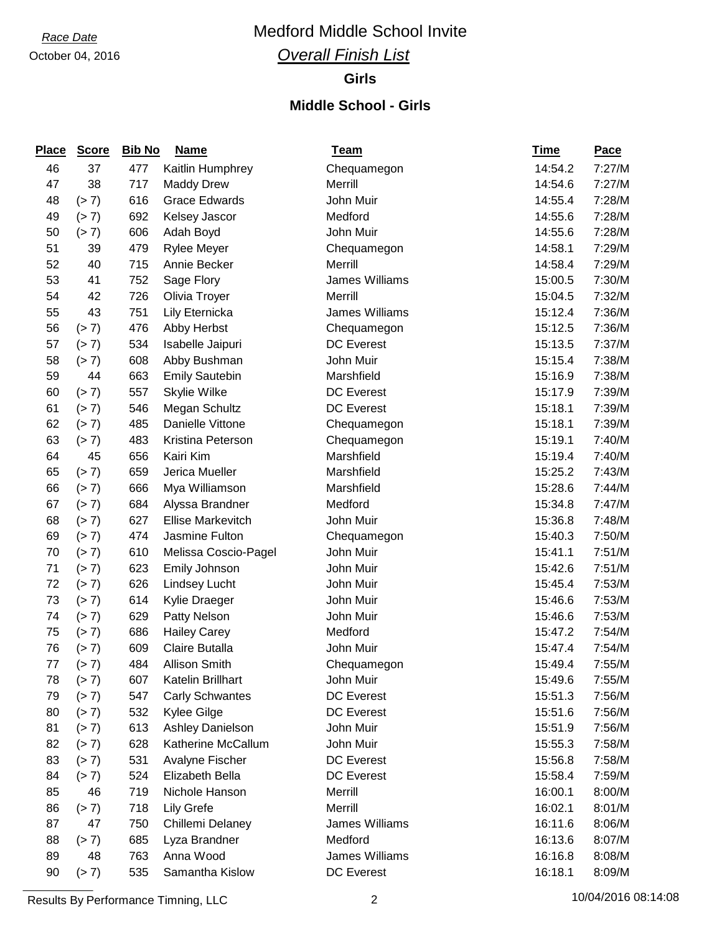# *Race Date* Medford Middle School Invite

## *Overall Finish List*

#### **Girls**

### **Middle School - Girls**

| <b>Place</b> | <b>Score</b> | <b>Bib No</b> | <b>Name</b>              | <u>Team</u>       | <u>Time</u> | Pace   |
|--------------|--------------|---------------|--------------------------|-------------------|-------------|--------|
| 46           | 37           | 477           | Kaitlin Humphrey         | Chequamegon       | 14:54.2     | 7:27/M |
| 47           | 38           | 717           | <b>Maddy Drew</b>        | Merrill           | 14:54.6     | 7:27/M |
| 48           | (> 7)        | 616           | <b>Grace Edwards</b>     | John Muir         | 14:55.4     | 7:28/M |
| 49           | (> 7)        | 692           | Kelsey Jascor            | Medford           | 14:55.6     | 7:28/M |
| 50           | (> 7)        | 606           | Adah Boyd                | John Muir         | 14:55.6     | 7:28/M |
| 51           | 39           | 479           | <b>Rylee Meyer</b>       | Chequamegon       | 14:58.1     | 7:29/M |
| 52           | 40           | 715           | Annie Becker             | Merrill           | 14:58.4     | 7:29/M |
| 53           | 41           | 752           | Sage Flory               | James Williams    | 15:00.5     | 7:30/M |
| 54           | 42           | 726           | Olivia Troyer            | Merrill           | 15:04.5     | 7:32/M |
| 55           | 43           | 751           | Lily Eternicka           | James Williams    | 15:12.4     | 7:36/M |
| 56           | (> 7)        | 476           | Abby Herbst              | Chequamegon       | 15:12.5     | 7:36/M |
| 57           | (> 7)        | 534           | Isabelle Jaipuri         | <b>DC</b> Everest | 15:13.5     | 7:37/M |
| 58           | (> 7)        | 608           | Abby Bushman             | John Muir         | 15:15.4     | 7:38/M |
| 59           | 44           | 663           | <b>Emily Sautebin</b>    | Marshfield        | 15:16.9     | 7:38/M |
| 60           | (> 7)        | 557           | Skylie Wilke             | <b>DC</b> Everest | 15:17.9     | 7:39/M |
| 61           | (> 7)        | 546           | Megan Schultz            | <b>DC</b> Everest | 15:18.1     | 7:39/M |
| 62           | (> 7)        | 485           | Danielle Vittone         | Chequamegon       | 15:18.1     | 7:39/M |
| 63           | (> 7)        | 483           | Kristina Peterson        | Chequamegon       | 15:19.1     | 7:40/M |
| 64           | 45           | 656           | Kairi Kim                | Marshfield        | 15:19.4     | 7:40/M |
| 65           | (> 7)        | 659           | Jerica Mueller           | Marshfield        | 15:25.2     | 7:43/M |
| 66           | (> 7)        | 666           | Mya Williamson           | Marshfield        | 15:28.6     | 7:44/M |
| 67           | (> 7)        | 684           | Alyssa Brandner          | Medford           | 15:34.8     | 7:47/M |
| 68           | (> 7)        | 627           | <b>Ellise Markevitch</b> | John Muir         | 15:36.8     | 7:48/M |
| 69           | (> 7)        | 474           | Jasmine Fulton           | Chequamegon       | 15:40.3     | 7:50/M |
| 70           | (> 7)        | 610           | Melissa Coscio-Pagel     | John Muir         | 15:41.1     | 7:51/M |
| 71           | (> 7)        | 623           | Emily Johnson            | John Muir         | 15:42.6     | 7:51/M |
| 72           | (> 7)        | 626           | <b>Lindsey Lucht</b>     | John Muir         | 15:45.4     | 7:53/M |
| 73           | (> 7)        | 614           | Kylie Draeger            | John Muir         | 15:46.6     | 7:53/M |
| 74           | (> 7)        | 629           | Patty Nelson             | John Muir         | 15:46.6     | 7:53/M |
| 75           | (> 7)        | 686           | <b>Hailey Carey</b>      | Medford           | 15:47.2     | 7:54/M |
| 76           | (> 7)        | 609           | Claire Butalla           | John Muir         | 15:47.4     | 7:54/M |
| 77           | (> 7)        | 484           | <b>Allison Smith</b>     | Chequamegon       | 15:49.4     | 7:55/M |
| 78           | (> 7)        | 607           | Katelin Brillhart        | John Muir         | 15:49.6     | 7:55/M |
| 79           | (> 7)        | 547           | <b>Carly Schwantes</b>   | <b>DC</b> Everest | 15:51.3     | 7:56/M |
| 80           | (> 7)        | 532           | Kylee Gilge              | <b>DC</b> Everest | 15:51.6     | 7:56/M |
| 81           | (> 7)        | 613           | Ashley Danielson         | John Muir         | 15:51.9     | 7:56/M |
| 82           | (> 7)        | 628           | Katherine McCallum       | John Muir         | 15:55.3     | 7:58/M |
| 83           | (> 7)        | 531           | Avalyne Fischer          | <b>DC</b> Everest | 15:56.8     | 7:58/M |
| 84           | (> 7)        | 524           | Elizabeth Bella          | <b>DC</b> Everest | 15:58.4     | 7:59/M |
| 85           | 46           | 719           | Nichole Hanson           | Merrill           | 16:00.1     | 8:00/M |
| 86           | (> 7)        | 718           | <b>Lily Grefe</b>        | Merrill           | 16:02.1     | 8:01/M |
| 87           | 47           | 750           | Chillemi Delaney         | James Williams    | 16:11.6     | 8:06/M |
| 88           | (> 7)        | 685           | Lyza Brandner            | Medford           | 16:13.6     | 8:07/M |
| 89           | 48           | 763           | Anna Wood                | James Williams    | 16:16.8     | 8:08/M |
| 90           | (> 7)        | 535           | Samantha Kislow          | <b>DC</b> Everest | 16:18.1     | 8:09/M |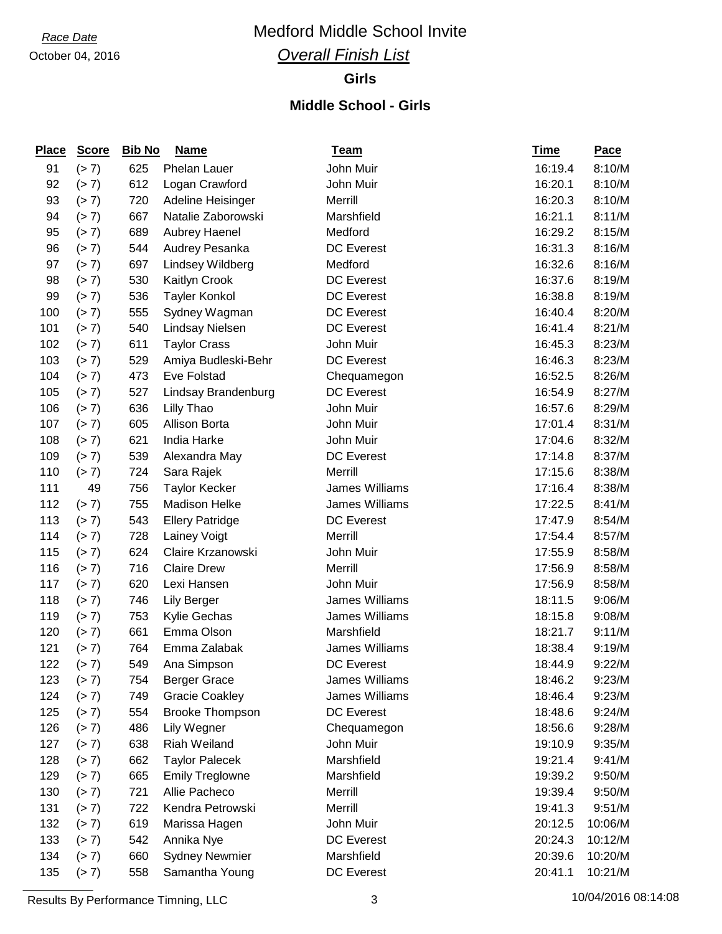## *Race Date* Medford Middle School Invite

## *Overall Finish List*

#### **Girls**

### **Middle School - Girls**

| <b>Place</b> | <b>Score</b> | <b>Bib No</b> | <b>Name</b>            | <u>Team</u>       | <b>Time</b> | Pace    |
|--------------|--------------|---------------|------------------------|-------------------|-------------|---------|
| 91           | (> 7)        | 625           | Phelan Lauer           | John Muir         | 16:19.4     | 8:10/M  |
| 92           | (> 7)        | 612           | Logan Crawford         | John Muir         | 16:20.1     | 8:10/M  |
| 93           | (> 7)        | 720           | Adeline Heisinger      | Merrill           | 16:20.3     | 8:10/M  |
| 94           | (> 7)        | 667           | Natalie Zaborowski     | Marshfield        | 16:21.1     | 8:11/M  |
| 95           | (> 7)        | 689           | <b>Aubrey Haenel</b>   | Medford           | 16:29.2     | 8:15/M  |
| 96           | (> 7)        | 544           | Audrey Pesanka         | <b>DC</b> Everest | 16:31.3     | 8:16/M  |
| 97           | (> 7)        | 697           | Lindsey Wildberg       | Medford           | 16:32.6     | 8:16/M  |
| 98           | (> 7)        | 530           | Kaitlyn Crook          | <b>DC</b> Everest | 16:37.6     | 8:19/M  |
| 99           | (> 7)        | 536           | <b>Tayler Konkol</b>   | <b>DC</b> Everest | 16:38.8     | 8:19/M  |
| 100          | (> 7)        | 555           | Sydney Wagman          | <b>DC Everest</b> | 16:40.4     | 8:20/M  |
| 101          | (> 7)        | 540           | <b>Lindsay Nielsen</b> | <b>DC Everest</b> | 16:41.4     | 8:21/M  |
| 102          | (> 7)        | 611           | <b>Taylor Crass</b>    | John Muir         | 16:45.3     | 8:23/M  |
| 103          | (> 7)        | 529           | Amiya Budleski-Behr    | DC Everest        | 16:46.3     | 8:23/M  |
| 104          | (> 7)        | 473           | Eve Folstad            | Chequamegon       | 16:52.5     | 8:26/M  |
| 105          | (> 7)        | 527           | Lindsay Brandenburg    | <b>DC</b> Everest | 16:54.9     | 8:27/M  |
| 106          | (> 7)        | 636           | Lilly Thao             | John Muir         | 16:57.6     | 8:29/M  |
| 107          | (> 7)        | 605           | Allison Borta          | John Muir         | 17:01.4     | 8:31/M  |
| 108          | (> 7)        | 621           | India Harke            | John Muir         | 17:04.6     | 8:32/M  |
| 109          | (> 7)        | 539           | Alexandra May          | DC Everest        | 17:14.8     | 8:37/M  |
| 110          | (> 7)        | 724           | Sara Rajek             | Merrill           | 17:15.6     | 8:38/M  |
| 111          | 49           | 756           | <b>Taylor Kecker</b>   | James Williams    | 17:16.4     | 8:38/M  |
| 112          | (> 7)        | 755           | <b>Madison Helke</b>   | James Williams    | 17:22.5     | 8:41/M  |
| 113          | (> 7)        | 543           | <b>Ellery Patridge</b> | DC Everest        | 17:47.9     | 8:54/M  |
| 114          | (> 7)        | 728           | Lainey Voigt           | Merrill           | 17:54.4     | 8:57/M  |
| 115          | (> 7)        | 624           | Claire Krzanowski      | John Muir         | 17:55.9     | 8:58/M  |
| 116          | (> 7)        | 716           | <b>Claire Drew</b>     | Merrill           | 17:56.9     | 8:58/M  |
| 117          | (> 7)        | 620           | Lexi Hansen            | John Muir         | 17:56.9     | 8:58/M  |
| 118          | (> 7)        | 746           | <b>Lily Berger</b>     | James Williams    | 18:11.5     | 9:06/M  |
| 119          | (> 7)        | 753           | Kylie Gechas           | James Williams    | 18:15.8     | 9:08/M  |
| 120          | (> 7)        | 661           | Emma Olson             | Marshfield        | 18:21.7     | 9:11/M  |
| 121          | (> 7)        | 764           | Emma Zalabak           | James Williams    | 18:38.4     | 9:19/M  |
| 122          | (> 7)        | 549           | Ana Simpson            | <b>DC</b> Everest | 18:44.9     | 9:22/M  |
| 123          | (> 7)        | 754           | <b>Berger Grace</b>    | James Williams    | 18:46.2     | 9:23/M  |
| 124          | (> 7)        | 749           | <b>Gracie Coakley</b>  | James Williams    | 18:46.4     | 9:23/M  |
| 125          | (> 7)        | 554           | <b>Brooke Thompson</b> | <b>DC</b> Everest | 18:48.6     | 9:24/M  |
| 126          | (> 7)        | 486           | Lily Wegner            | Chequamegon       | 18:56.6     | 9:28/M  |
| 127          | (> 7)        | 638           | Riah Weiland           | John Muir         | 19:10.9     | 9:35/M  |
| 128          | (> 7)        | 662           | <b>Taylor Palecek</b>  | Marshfield        | 19:21.4     | 9:41/M  |
| 129          | (> 7)        | 665           | <b>Emily Treglowne</b> | Marshfield        | 19:39.2     | 9:50/M  |
| 130          | (> 7)        | 721           | Allie Pacheco          | Merrill           | 19:39.4     | 9:50/M  |
| 131          | (> 7)        | 722           | Kendra Petrowski       | Merrill           | 19:41.3     | 9:51/M  |
| 132          | (> 7)        | 619           | Marissa Hagen          | John Muir         | 20:12.5     | 10:06/M |
| 133          | (> 7)        | 542           | Annika Nye             | <b>DC</b> Everest | 20:24.3     | 10:12/M |
| 134          | (> 7)        | 660           | <b>Sydney Newmier</b>  | Marshfield        | 20:39.6     | 10:20/M |
| 135          | (> 7)        | 558           | Samantha Young         | <b>DC Everest</b> | 20:41.1     | 10:21/M |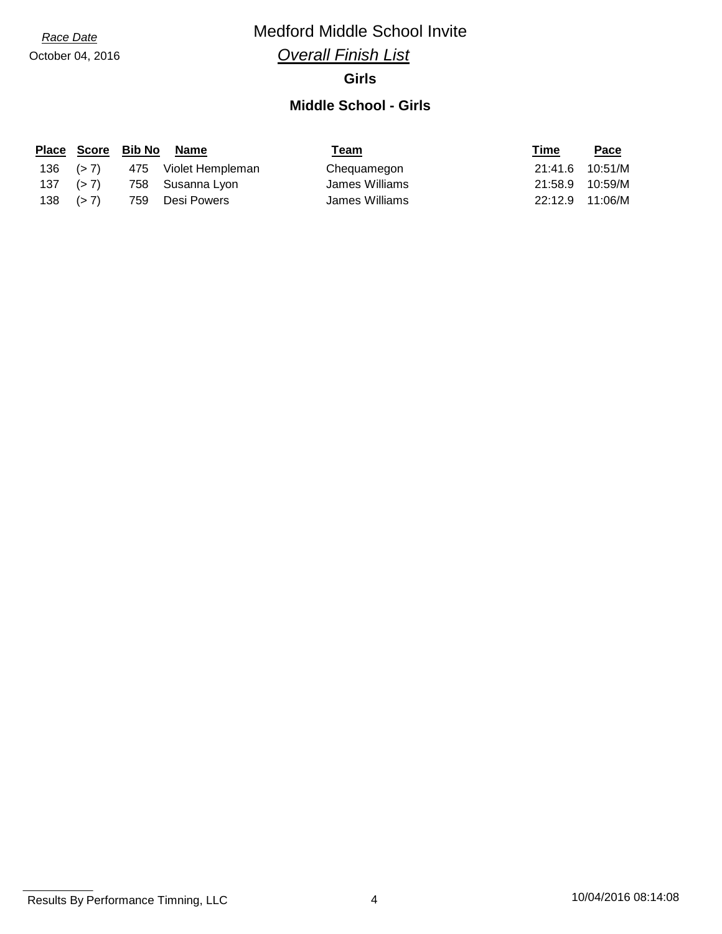## *Race Date* Medford Middle School Invite

## *Overall Finish List*

#### **Girls**

#### **Middle School - Girls**

|               |              | Place Score Bib No Name | Team           | Time            | Pace    |
|---------------|--------------|-------------------------|----------------|-----------------|---------|
|               | $136$ $(>7)$ | 475 Violet Hempleman    | Chequamegon    | 21:41.6 10:51/M |         |
| $137$ $(> 7)$ |              | 758 Susanna Lyon        | James Williams | 21:58.9         | 10:59/M |
| $138$ $(>7)$  |              | 759 Desi Powers         | James Williams | 22:12.9 11:06/M |         |

Results By Performance Timning, LLC 4 10/04/2016 08:14:08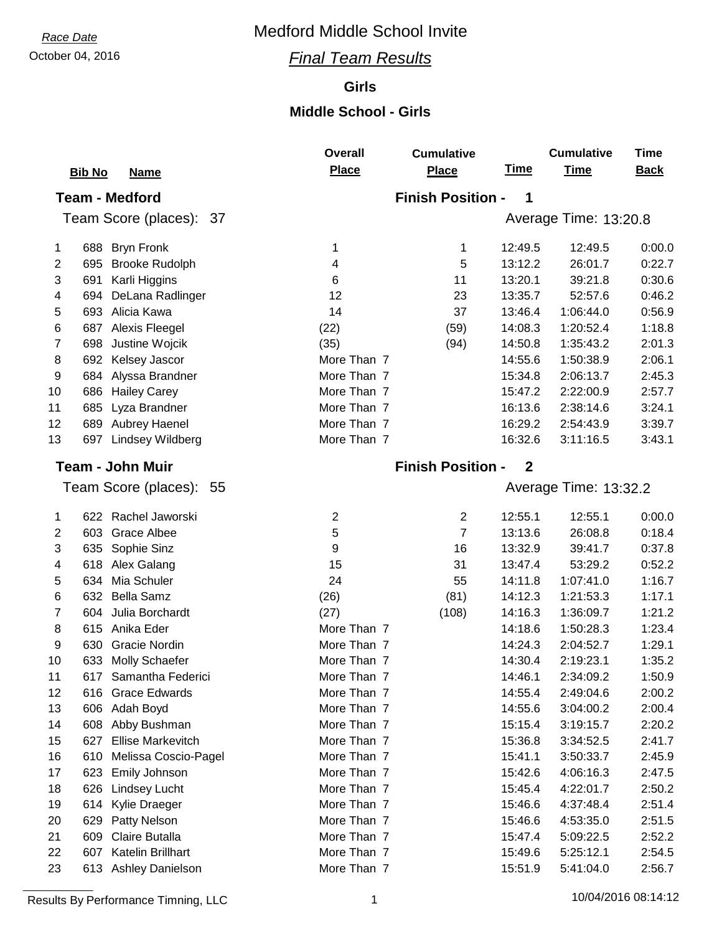## October 04, 2016 *Final Team Results*

#### **Girls**

### **Middle School - Girls**

|                         |                                                     | <b>Overall</b>      | <b>Cumulative</b>        | <b>Time</b>        | <b>Cumulative</b>      | <b>Time</b>      |
|-------------------------|-----------------------------------------------------|---------------------|--------------------------|--------------------|------------------------|------------------|
|                         | <b>Bib No</b><br><b>Name</b>                        | Place               | <b>Place</b>             |                    | <b>Time</b>            | <b>Back</b>      |
|                         | <b>Team - Medford</b>                               |                     | <b>Finish Position -</b> | 1                  |                        |                  |
|                         | Team Score (places): 37                             |                     |                          |                    | Average Time: 13:20.8  |                  |
| 1                       | 688 Bryn Fronk                                      | 1                   | 1                        | 12:49.5            | 12:49.5                | 0:00.0           |
| $\mathbf{2}$            | 695<br><b>Brooke Rudolph</b>                        | 4                   | 5                        | 13:12.2            | 26:01.7                | 0:22.7           |
| 3                       | 691<br>Karli Higgins                                | 6                   | 11                       | 13:20.1            | 39:21.8                | 0:30.6           |
| 4                       | 694<br>DeLana Radlinger                             | 12                  | 23                       | 13:35.7            | 52:57.6                | 0:46.2           |
| 5                       | 693 Alicia Kawa                                     | 14                  | 37                       | 13:46.4            | 1:06:44.0              | 0:56.9           |
| 6                       | Alexis Fleegel<br>687                               | (22)                | (59)                     | 14:08.3            | 1:20:52.4              | 1:18.8           |
| 7                       | 698<br>Justine Wojcik                               | (35)                | (94)                     | 14:50.8            | 1:35:43.2              | 2:01.3           |
| 8                       | Kelsey Jascor<br>692                                | More Than 7         |                          | 14:55.6            | 1:50:38.9              | 2:06.1           |
| 9                       | 684<br>Alyssa Brandner                              | More Than 7         |                          | 15:34.8            | 2:06:13.7              | 2:45.3           |
| 10                      | 686<br><b>Hailey Carey</b>                          | More Than 7         |                          | 15:47.2            | 2:22:00.9              | 2:57.7           |
| 11                      | 685<br>Lyza Brandner                                | More Than 7         |                          | 16:13.6            | 2:38:14.6              | 3:24.1           |
| 12                      | 689<br>Aubrey Haenel                                | More Than 7         |                          | 16:29.2            | 2:54:43.9              | 3:39.7           |
| 13                      | <b>Lindsey Wildberg</b><br>697                      | More Than 7         |                          | 16:32.6            | 3:11:16.5              | 3:43.1           |
|                         | <b>Team - John Muir</b>                             |                     | <b>Finish Position -</b> | $\mathbf 2$        |                        |                  |
|                         | Team Score (places): 55                             |                     |                          |                    | Average Time: 13:32.2  |                  |
|                         |                                                     |                     |                          |                    |                        |                  |
| 1                       | 622 Rachel Jaworski                                 | $\overline{2}$      | $\overline{2}$           | 12:55.1            | 12:55.1                | 0:00.0           |
| $\overline{\mathbf{c}}$ | <b>Grace Albee</b><br>603                           | 5                   | $\overline{7}$           | 13:13.6            | 26:08.8                | 0:18.4           |
| 3                       | 635<br>Sophie Sinz                                  | 9                   | 16                       | 13:32.9            | 39:41.7                | 0:37.8           |
| 4                       | 618 Alex Galang                                     | 15                  | 31                       | 13:47.4            | 53:29.2                | 0:52.2           |
| 5                       | Mia Schuler<br>634                                  | 24                  | 55                       | 14:11.8            | 1:07:41.0              | 1:16.7           |
| 6                       | <b>Bella Samz</b><br>632                            | (26)                | (81)                     | 14:12.3            | 1:21:53.3              | 1:17.1           |
| 7                       | Julia Borchardt<br>604                              | (27)<br>More Than 7 | (108)                    | 14:16.3            | 1:36:09.7              | 1:21.2           |
| 8                       | 615 Anika Eder<br><b>Gracie Nordin</b>              | More Than 7         |                          | 14:18.6            | 1:50:28.3              | 1:23.4           |
| 9<br>10                 | 630                                                 | More Than 7         |                          | 14:24.3            | 2:04:52.7              | 1:29.1           |
|                         | <b>Molly Schaefer</b><br>633<br>Samantha Federici   | More Than 7         |                          | 14:30.4<br>14:46.1 | 2:19:23.1<br>2:34:09.2 | 1:35.2<br>1:50.9 |
| 11                      | 617                                                 | More Than 7         |                          |                    |                        |                  |
| 12<br>13                | <b>Grace Edwards</b><br>616                         | More Than 7         |                          | 14:55.4<br>14:55.6 | 2:49:04.6              | 2:00.2           |
| 14                      | 606 Adah Boyd<br>608<br>Abby Bushman                | More Than 7         |                          | 15:15.4            | 3:04:00.2<br>3:19:15.7 | 2:00.4<br>2:20.2 |
| 15                      | 627<br><b>Ellise Markevitch</b>                     | More Than 7         |                          | 15:36.8            | 3:34:52.5              | 2:41.7           |
| 16                      | Melissa Coscio-Pagel<br>610                         | More Than 7         |                          | 15:41.1            | 3:50:33.7              | 2:45.9           |
| 17                      | 623                                                 | More Than 7         |                          | 15:42.6            | 4:06:16.3              | 2:47.5           |
|                         | Emily Johnson                                       | More Than 7         |                          |                    |                        |                  |
| 18<br>19                | 626<br><b>Lindsey Lucht</b><br>Kylie Draeger<br>614 | More Than 7         |                          | 15:45.4<br>15:46.6 | 4:22:01.7<br>4:37:48.4 | 2:50.2<br>2:51.4 |
| 20                      | 629<br>Patty Nelson                                 | More Than 7         |                          | 15:46.6            | 4:53:35.0              | 2:51.5           |
| 21                      | 609<br>Claire Butalla                               | More Than 7         |                          | 15:47.4            | 5:09:22.5              | 2:52.2           |
| 22                      | Katelin Brillhart<br>607                            | More Than 7         |                          | 15:49.6            | 5:25:12.1              | 2:54.5           |
| 23                      | 613 Ashley Danielson                                | More Than 7         |                          | 15:51.9            | 5:41:04.0              | 2:56.7           |
|                         |                                                     |                     |                          |                    |                        |                  |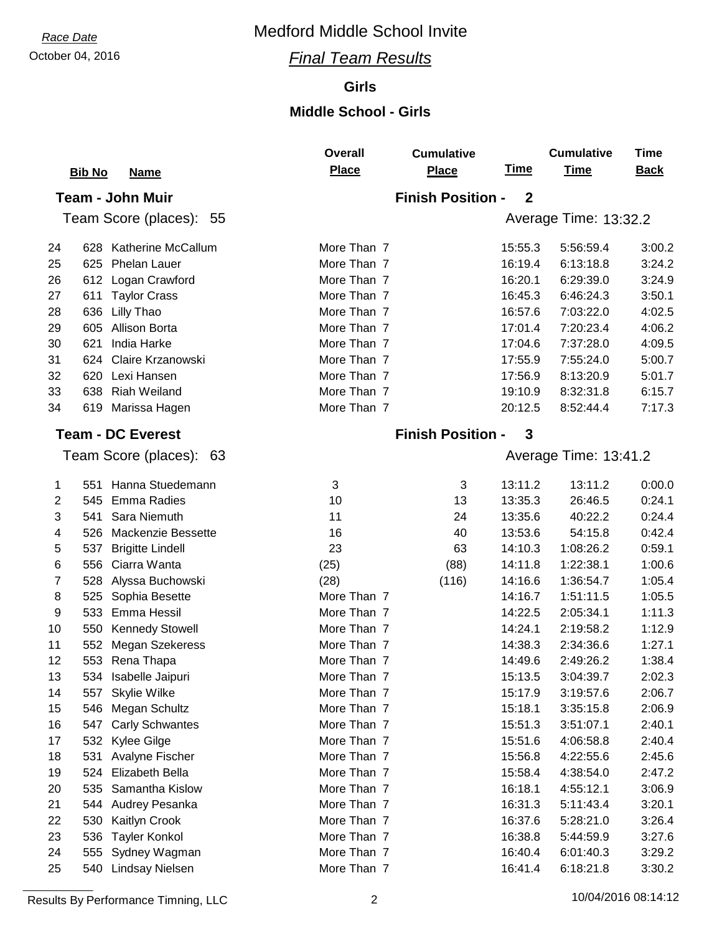## October 04, 2016 *Final Team Results*

#### **Girls**

## **Middle School - Girls**

|                |                                  | <b>Overall</b> | <b>Cumulative</b>        |              | <b>Cumulative</b>     | <b>Time</b> |
|----------------|----------------------------------|----------------|--------------------------|--------------|-----------------------|-------------|
|                | <b>Bib No</b><br><b>Name</b>     | Place          | <b>Place</b>             | <u>Time</u>  | <b>Time</b>           | <b>Back</b> |
|                | <b>Team - John Muir</b>          |                | <b>Finish Position -</b> | $\mathbf{2}$ |                       |             |
|                | Team Score (places): 55          |                |                          |              | Average Time: 13:32.2 |             |
|                |                                  |                |                          |              |                       |             |
| 24             | <b>Katherine McCallum</b><br>628 | More Than 7    |                          | 15:55.3      | 5:56:59.4             | 3:00.2      |
| 25             | Phelan Lauer<br>625              | More Than 7    |                          | 16:19.4      | 6:13:18.8             | 3:24.2      |
| 26             | Logan Crawford<br>612            | More Than 7    |                          | 16:20.1      | 6:29:39.0             | 3:24.9      |
| 27             | <b>Taylor Crass</b><br>611       | More Than 7    |                          | 16:45.3      | 6:46:24.3             | 3:50.1      |
| 28             | 636<br>Lilly Thao                | More Than 7    |                          | 16:57.6      | 7:03:22.0             | 4:02.5      |
| 29             | 605<br><b>Allison Borta</b>      | More Than 7    |                          | 17:01.4      | 7:20:23.4             | 4:06.2      |
| 30             | 621<br>India Harke               | More Than 7    |                          | 17:04.6      | 7:37:28.0             | 4:09.5      |
| 31             | 624<br>Claire Krzanowski         | More Than 7    |                          | 17:55.9      | 7:55:24.0             | 5:00.7      |
| 32             | 620<br>Lexi Hansen               | More Than 7    |                          | 17:56.9      | 8:13:20.9             | 5:01.7      |
| 33             | <b>Riah Weiland</b><br>638       | More Than 7    |                          | 19:10.9      | 8:32:31.8             | 6:15.7      |
| 34             | 619 Marissa Hagen                | More Than 7    |                          | 20:12.5      | 8:52:44.4             | 7:17.3      |
|                | <b>Team - DC Everest</b>         |                | <b>Finish Position -</b> | 3            |                       |             |
|                |                                  |                |                          |              |                       |             |
|                | Team Score (places): 63          |                |                          |              | Average Time: 13:41.2 |             |
| 1              | Hanna Stuedemann<br>551          | 3              | 3                        | 13:11.2      | 13:11.2               | 0:00.0      |
| $\overline{2}$ | <b>Emma Radies</b><br>545        | 10             | 13                       | 13:35.3      | 26:46.5               | 0:24.1      |
| 3              | Sara Niemuth<br>541              | 11             | 24                       | 13:35.6      | 40:22.2               | 0:24.4      |
| 4              | Mackenzie Bessette<br>526        | 16             | 40                       | 13:53.6      | 54:15.8               | 0:42.4      |
| 5              | 537<br><b>Brigitte Lindell</b>   | 23             | 63                       | 14:10.3      | 1:08:26.2             | 0:59.1      |
| $\,6$          | Ciarra Wanta<br>556              | (25)           | (88)                     | 14:11.8      | 1:22:38.1             | 1:00.6      |
| 7              | 528<br>Alyssa Buchowski          | (28)           | (116)                    | 14:16.6      | 1:36:54.7             | 1:05.4      |
| 8              | 525<br>Sophia Besette            | More Than 7    |                          | 14:16.7      | 1:51:11.5             | 1:05.5      |
| 9              | 533<br>Emma Hessil               | More Than 7    |                          | 14:22.5      | 2:05:34.1             | 1:11.3      |
| 10             | 550<br><b>Kennedy Stowell</b>    | More Than 7    |                          | 14:24.1      | 2:19:58.2             | 1:12.9      |
| 11             | 552<br>Megan Szekeress           | More Than 7    |                          | 14:38.3      | 2:34:36.6             | 1:27.1      |
| 12             | 553 Rena Thapa                   | More Than 7    |                          | 14:49.6      | 2:49:26.2             | 1:38.4      |
| 13             | 534 Isabelle Jaipuri             | More Than 7    |                          | 15:13.5      | 3:04:39.7             | 2:02.3      |
| 14             | 557<br>Skylie Wilke              | More Than 7    |                          | 15:17.9      | 3:19:57.6             | 2:06.7      |
| 15             | 546<br>Megan Schultz             | More Than 7    |                          | 15:18.1      | 3:35:15.8             | 2:06.9      |
| 16             | 547<br><b>Carly Schwantes</b>    | More Than 7    |                          | 15:51.3      | 3:51:07.1             | 2:40.1      |
| 17             | 532<br>Kylee Gilge               | More Than 7    |                          | 15:51.6      | 4:06:58.8             | 2:40.4      |
| 18             | Avalyne Fischer<br>531           | More Than 7    |                          | 15:56.8      | 4:22:55.6             | 2:45.6      |
| 19             | 524<br>Elizabeth Bella           | More Than 7    |                          | 15:58.4      | 4:38:54.0             | 2:47.2      |
| 20             | 535<br>Samantha Kislow           | More Than 7    |                          | 16:18.1      | 4:55:12.1             | 3:06.9      |
| 21             | 544<br>Audrey Pesanka            | More Than 7    |                          | 16:31.3      | 5:11:43.4             | 3:20.1      |
| 22             | 530<br>Kaitlyn Crook             | More Than 7    |                          | 16:37.6      | 5:28:21.0             | 3:26.4      |
| 23             | 536<br><b>Tayler Konkol</b>      | More Than 7    |                          | 16:38.8      | 5:44:59.9             | 3:27.6      |
| 24             | 555<br>Sydney Wagman             | More Than 7    |                          | 16:40.4      | 6:01:40.3             | 3:29.2      |
| 25             | 540 Lindsay Nielsen              | More Than 7    |                          | 16:41.4      | 6:18:21.8             | 3:30.2      |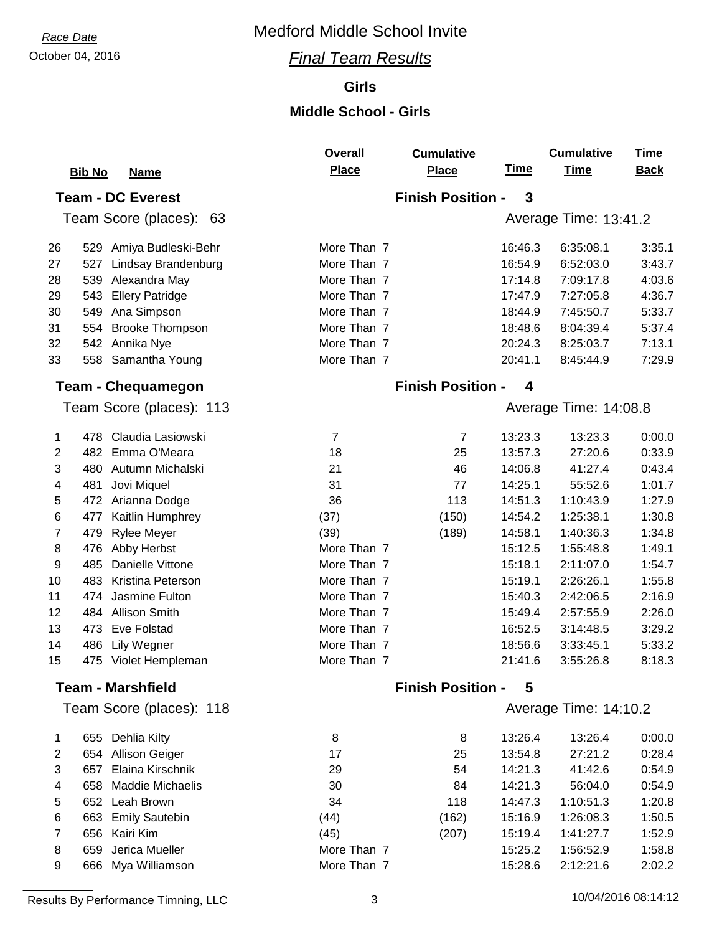## October 04, 2016 *Final Team Results*

#### **Girls**

### **Middle School - Girls**

**Overall**

|                |                                | <b>Overall</b> | <b>Cumulative</b>        |             | <b>Cumulative</b>     | <b>Time</b> |
|----------------|--------------------------------|----------------|--------------------------|-------------|-----------------------|-------------|
|                | <b>Bib No</b><br><b>Name</b>   | <b>Place</b>   | <b>Place</b>             | <b>Time</b> | <b>Time</b>           | <b>Back</b> |
|                | <b>Team - DC Everest</b>       |                | <b>Finish Position -</b> | 3           |                       |             |
|                | Team Score (places): 63        |                |                          |             | Average Time: 13:41.2 |             |
|                |                                |                |                          |             |                       |             |
| 26             | Amiya Budleski-Behr<br>529     | More Than 7    |                          | 16:46.3     | 6:35:08.1             | 3:35.1      |
| 27             | 527<br>Lindsay Brandenburg     | More Than 7    |                          | 16:54.9     | 6:52:03.0             | 3:43.7      |
| 28             | 539<br>Alexandra May           | More Than 7    |                          | 17:14.8     | 7:09:17.8             | 4:03.6      |
| 29             | 543<br><b>Ellery Patridge</b>  | More Than 7    |                          | 17:47.9     | 7:27:05.8             | 4:36.7      |
| 30             | 549<br>Ana Simpson             | More Than 7    |                          | 18:44.9     | 7:45:50.7             | 5:33.7      |
| 31             | <b>Brooke Thompson</b><br>554  | More Than 7    |                          | 18:48.6     | 8:04:39.4             | 5:37.4      |
| 32             | 542 Annika Nye                 | More Than 7    |                          | 20:24.3     | 8:25:03.7             | 7:13.1      |
| 33             | 558 Samantha Young             | More Than 7    |                          | 20:41.1     | 8:45:44.9             | 7:29.9      |
|                | <b>Team - Chequamegon</b>      |                | <b>Finish Position -</b> | 4           |                       |             |
|                | Team Score (places): 113       |                |                          |             | Average Time: 14:08.8 |             |
|                |                                |                |                          |             |                       |             |
| 1              | 478 Claudia Lasiowski          | $\overline{7}$ | $\overline{7}$           | 13:23.3     | 13:23.3               | 0:00.0      |
| $\overline{2}$ | 482 Emma O'Meara               | 18             | 25                       | 13:57.3     | 27:20.6               | 0:33.9      |
| 3              | 480 Autumn Michalski           | 21             | 46                       | 14:06.8     | 41:27.4               | 0:43.4      |
| 4              | 481<br>Jovi Miquel             | 31             | 77                       | 14:25.1     | 55:52.6               | 1:01.7      |
| 5              | 472 Arianna Dodge              | 36             | 113                      | 14:51.3     | 1:10:43.9             | 1:27.9      |
| $\,6$          | 477<br>Kaitlin Humphrey        | (37)           | (150)                    | 14:54.2     | 1:25:38.1             | 1:30.8      |
| $\overline{7}$ | 479<br>Rylee Meyer             | (39)           | (189)                    | 14:58.1     | 1:40:36.3             | 1:34.8      |
| $\bf 8$        | 476 Abby Herbst                | More Than 7    |                          | 15:12.5     | 1:55:48.8             | 1:49.1      |
| 9              | Danielle Vittone<br>485        | More Than 7    |                          | 15:18.1     | 2:11:07.0             | 1:54.7      |
| 10             | 483<br>Kristina Peterson       | More Than 7    |                          | 15:19.1     | 2:26:26.1             | 1:55.8      |
| 11             | Jasmine Fulton<br>474          | More Than 7    |                          | 15:40.3     | 2:42:06.5             | 2:16.9      |
| 12             | 484 Allison Smith              | More Than 7    |                          | 15:49.4     | 2:57:55.9             | 2:26.0      |
| 13             | <b>Eve Folstad</b><br>473      | More Than 7    |                          | 16:52.5     | 3:14:48.5             | 3:29.2      |
| 14             | 486<br>Lily Wegner             | More Than 7    |                          | 18:56.6     | 3:33:45.1             | 5:33.2      |
| 15             | 475 Violet Hempleman           | More Than 7    |                          | 21:41.6     | 3:55:26.8             | 8:18.3      |
|                | <b>Team - Marshfield</b>       |                | <b>Finish Position -</b> | 5           |                       |             |
|                | Team Score (places): 118       |                |                          |             | Average Time: 14:10.2 |             |
| 1              | 655 Dehlia Kilty               | 8              | 8                        | 13:26.4     | 13:26.4               | 0:00.0      |
| 2              | 654 Allison Geiger             | 17             | 25                       | 13:54.8     | 27:21.2               | 0:28.4      |
| 3              | Elaina Kirschnik<br>657        | 29             | 54                       | 14:21.3     | 41:42.6               | 0:54.9      |
| 4              | 658<br><b>Maddie Michaelis</b> | 30             | 84                       | 14:21.3     | 56:04.0               | 0:54.9      |
| 5              | 652<br>Leah Brown              | 34             | 118                      | 14:47.3     | 1:10:51.3             | 1:20.8      |
| $\,6$          | 663 Emily Sautebin             | (44)           | (162)                    | 15:16.9     | 1:26:08.3             | 1:50.5      |
| 7              | 656<br>Kairi Kim               | (45)           | (207)                    | 15:19.4     | 1:41:27.7             | 1:52.9      |
| 8              | Jerica Mueller<br>659          | More Than 7    |                          | 15:25.2     | 1:56:52.9             | 1:58.8      |
| 9              | 666 Mya Williamson             | More Than 7    |                          | 15:28.6     | 2:12:21.6             | 2:02.2      |
|                |                                |                |                          |             |                       |             |

Results By Performance Timning, LLC 3 10/04/2016 08:14:12

**Cumulative**

**Time**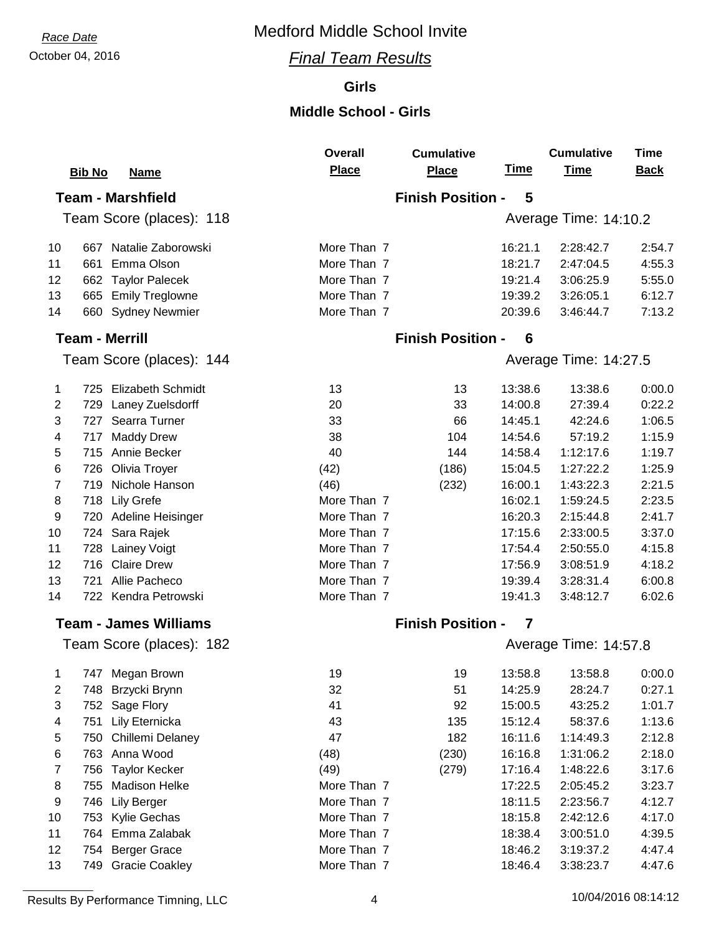## October 04, 2016 *Final Team Results*

#### **Girls**

### **Middle School - Girls**

|                         |                               | <b>Overall</b> | <b>Cumulative</b>        |             | <b>Cumulative</b>     | <b>Time</b> |
|-------------------------|-------------------------------|----------------|--------------------------|-------------|-----------------------|-------------|
|                         | <b>Bib No</b><br><b>Name</b>  | <b>Place</b>   | <b>Place</b>             | <u>Time</u> | <b>Time</b>           | <b>Back</b> |
|                         | <b>Team - Marshfield</b>      |                | <b>Finish Position -</b> | 5           |                       |             |
|                         | Team Score (places): 118      |                |                          |             | Average Time: 14:10.2 |             |
|                         |                               |                |                          |             |                       |             |
| 10                      | 667 Natalie Zaborowski        | More Than 7    |                          | 16:21.1     | 2:28:42.7             | 2:54.7      |
| 11                      | Emma Olson<br>661             | More Than 7    |                          | 18:21.7     | 2:47:04.5             | 4:55.3      |
| 12                      | 662 Taylor Palecek            | More Than 7    |                          | 19:21.4     | 3:06:25.9             | 5:55.0      |
| 13                      | 665<br><b>Emily Treglowne</b> | More Than 7    |                          | 19:39.2     | 3:26:05.1             | 6:12.7      |
| 14                      | 660<br><b>Sydney Newmier</b>  | More Than 7    |                          | 20:39.6     | 3:46:44.7             | 7:13.2      |
|                         | <b>Team - Merrill</b>         |                | <b>Finish Position -</b> | 6           |                       |             |
|                         | Team Score (places): 144      |                |                          |             | Average Time: 14:27.5 |             |
| 1                       | 725 Elizabeth Schmidt         | 13             | 13                       | 13:38.6     | 13:38.6               | 0:00.0      |
| 2                       | 729 Laney Zuelsdorff          | 20             | 33                       | 14:00.8     | 27:39.4               | 0:22.2      |
| 3                       | 727 Searra Turner             | 33             | 66                       | 14:45.1     | 42:24.6               | 1:06.5      |
| $\overline{\mathbf{4}}$ | 717 Maddy Drew                | 38             | 104                      | 14:54.6     | 57:19.2               | 1:15.9      |
| 5                       | 715 Annie Becker              | 40             | 144                      | 14:58.4     | 1:12:17.6             | 1:19.7      |
| 6                       | 726 Olivia Troyer             | (42)           | (186)                    | 15:04.5     | 1:27:22.2             | 1:25.9      |
| 7                       | 719<br>Nichole Hanson         | (46)           | (232)                    | 16:00.1     | 1:43:22.3             | 2:21.5      |
| 8                       | 718<br><b>Lily Grefe</b>      | More Than 7    |                          | 16:02.1     | 1:59:24.5             | 2:23.5      |
| 9                       | Adeline Heisinger<br>720      | More Than 7    |                          | 16:20.3     | 2:15:44.8             | 2:41.7      |
| 10                      | 724<br>Sara Rajek             | More Than 7    |                          | 17:15.6     | 2:33:00.5             | 3:37.0      |
| 11                      | Lainey Voigt<br>728           | More Than 7    |                          | 17:54.4     | 2:50:55.0             | 4:15.8      |
| 12                      | <b>Claire Drew</b><br>716     | More Than 7    |                          | 17:56.9     | 3:08:51.9             | 4:18.2      |
| 13                      | Allie Pacheco<br>721          | More Than 7    |                          | 19:39.4     | 3:28:31.4             | 6:00.8      |
| 14                      | 722 Kendra Petrowski          | More Than 7    |                          | 19:41.3     | 3:48:12.7             | 6:02.6      |
|                         | <b>Team - James Williams</b>  |                | <b>Finish Position -</b> | 7           |                       |             |
|                         | Team Score (places): 182      |                |                          |             | Average Time: 14:57.8 |             |
| 1                       | 747 Megan Brown               | 19             | 19                       | 13:58.8     | 13:58.8               | 0:00.0      |
| 2                       | 748 Brzycki Brynn             | 32             | 51                       | 14:25.9     | 28:24.7               | 0:27.1      |
| 3                       | 752 Sage Flory                | 41             | 92                       | 15:00.5     | 43:25.2               | 1:01.7      |
| 4                       | Lily Eternicka<br>751         | 43             | 135                      | 15:12.4     | 58:37.6               | 1:13.6      |
| 5                       | 750<br>Chillemi Delaney       | 47             | 182                      | 16:11.6     | 1:14:49.3             | 2:12.8      |
| 6                       | 763 Anna Wood                 | (48)           | (230)                    | 16:16.8     | 1:31:06.2             | 2:18.0      |
| 7                       | <b>Taylor Kecker</b><br>756   | (49)           | (279)                    | 17:16.4     | 1:48:22.6             | 3:17.6      |
| 8                       | <b>Madison Helke</b><br>755   | More Than 7    |                          | 17:22.5     | 2:05:45.2             | 3:23.7      |
| 9                       | 746 Lily Berger               | More Than 7    |                          | 18:11.5     | 2:23:56.7             | 4:12.7      |
| 10                      | 753<br>Kylie Gechas           | More Than 7    |                          | 18:15.8     | 2:42:12.6             | 4:17.0      |
| 11                      | 764<br>Emma Zalabak           | More Than 7    |                          | 18:38.4     | 3:00:51.0             | 4:39.5      |
| 12                      | <b>Berger Grace</b><br>754    | More Than 7    |                          | 18:46.2     | 3:19:37.2             | 4:47.4      |
| 13                      | 749 Gracie Coakley            | More Than 7    |                          | 18:46.4     | 3:38:23.7             | 4:47.6      |